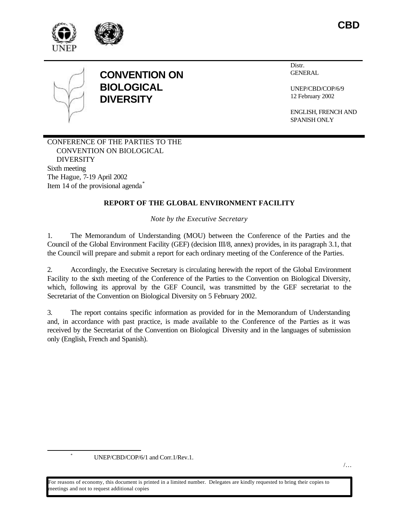



# **CONVENTION ON BIOLOGICAL DIVERSITY**

Distr. **GENERAL** 

UNEP/CBD/COP/6/9 12 February 2002

ENGLISH, FRENCH AND SPANISH ONLY

CONFERENCE OF THE PARTIES TO THE CONVENTION ON BIOLOGICAL DIVERSITY Sixth meeting The Hague, 7-19 April 2002 Item 14 of the provisional agenda<sup>\*</sup>

## **REPORT OF THE GLOBAL ENVIRONMENT FACILITY**

*Note by the Executive Secretary*

1. The Memorandum of Understanding (MOU) between the Conference of the Parties and the Council of the Global Environment Facility (GEF) (decision III/8, annex) provides, in its paragraph 3.1, that the Council will prepare and submit a report for each ordinary meeting of the Conference of the Parties.

2. Accordingly, the Executive Secretary is circulating herewith the report of the Global Environment Facility to the sixth meeting of the Conference of the Parties to the Convention on Biological Diversity, which, following its approval by the GEF Council, was transmitted by the GEF secretariat to the Secretariat of the Convention on Biological Diversity on 5 February 2002.

3. The report contains specific information as provided for in the Memorandum of Understanding and, in accordance with past practice, is made available to the Conference of the Parties as it was received by the Secretariat of the Convention on Biological Diversity and in the languages of submission only (English, French and Spanish).

l

\* UNEP/CBD/COP/6/1 and Corr.1/Rev.1.

/…

For reasons of economy, this document is printed in a limited number. Delegates are kindly requested to bring their copies to meetings and not to request additional copies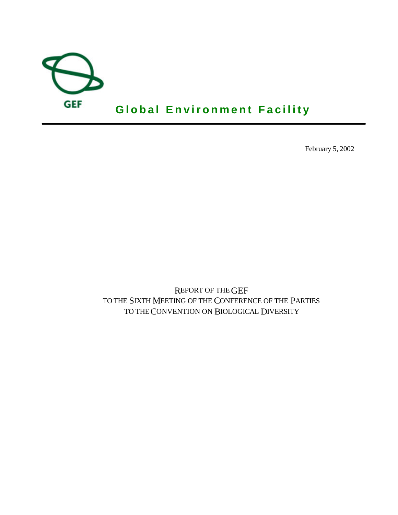

February 5, 2002

REPORT OF THE GEF TO THE SIXTH MEETING OF THE CONFERENCE OF THE PARTIES TO THE CONVENTION ON BIOLOGICAL DIVERSITY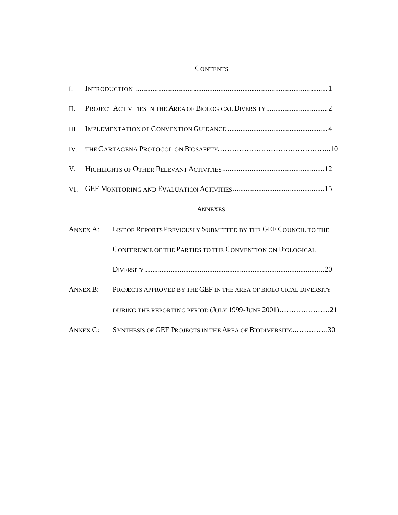## **CONTENTS**

| II.  |          |                                                                         |  |  |  |  |  |
|------|----------|-------------------------------------------------------------------------|--|--|--|--|--|
| III. |          |                                                                         |  |  |  |  |  |
|      |          |                                                                         |  |  |  |  |  |
| V.   |          |                                                                         |  |  |  |  |  |
|      |          |                                                                         |  |  |  |  |  |
|      |          | <b>ANNEXES</b>                                                          |  |  |  |  |  |
|      |          | ANNEX A: LIST OF REPORTS PREVIOUSLY SUBMITTED BY THE GEF COUNCIL TO THE |  |  |  |  |  |
|      |          | CONFERENCE OF THE PARTIES TO THE CONVENTION ON BIOLOGICAL               |  |  |  |  |  |
|      |          |                                                                         |  |  |  |  |  |
|      | ANNEX B: | PROJECTS APPROVED BY THE GEF IN THE AREA OF BIOLO GICAL DIVERSITY       |  |  |  |  |  |
|      |          | DURING THE REPORTING PERIOD (JULY 1999-JUNE 2001)21                     |  |  |  |  |  |
|      |          | ANNEX C: SYNTHESIS OF GEF PROJECTS IN THE AREA OF BIODIVERSITY30        |  |  |  |  |  |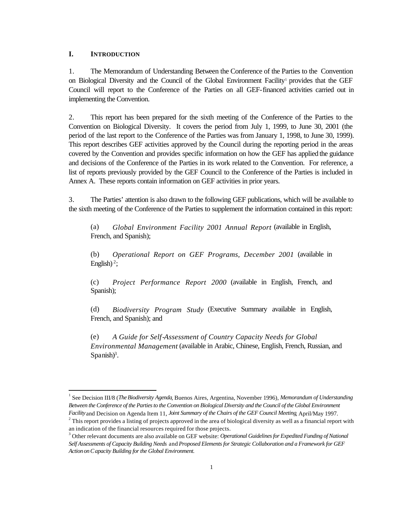### **I. INTRODUCTION**

j

1. The Memorandum of Understanding Between the Conference of the Parties to the Convention on Biological Diversity and the Council of the Global Environment Facility<sup>1</sup> provides that the GEF Council will report to the Conference of the Parties on all GEF-financed activities carried out in implementing the Convention.

2. This report has been prepared for the sixth meeting of the Conference of the Parties to the Convention on Biological Diversity. It covers the period from July 1, 1999, to June 30, 2001 (the period of the last report to the Conference of the Parties was from January 1, 1998, to June 30, 1999). This report describes GEF activities approved by the Council during the reporting period in the areas covered by the Convention and provides specific information on how the GEF has applied the guidance and decisions of the Conference of the Parties in its work related to the Convention. For reference, a list of reports previously provided by the GEF Council to the Conference of the Parties is included in Annex A. These reports contain information on GEF activities in prior years.

3. The Parties' attention is also drawn to the following GEF publications, which will be available to the sixth meeting of the Conference of the Parties to supplement the information contained in this report:

(a) *Global Environment Facility 2001 Annual Report* (available in English, French, and Spanish);

(b) *Operational Report on GEF Programs, December 2001* (available in English)<sup>2</sup>;

(c) *Project Performance Report 2000* (available in English, French, and Spanish);

(d) *Biodiversity Program Study* (Executive Summary available in English, French, and Spanish); and

(e) *A Guide for Self-Assessment of Country Capacity Needs for Global Environmental Management* (available in Arabic, Chinese, English, French, Russian, and Spanish $)^3$ .

<sup>1</sup> See Decision III/8 (*The Biodiversity Agenda*, Buenos Aires, Argentina, November 1996), *Memorandum of Understanding Between the Conference of the Parties to the Convention on Biological Diversity and the Council of the Global Environment Facility* and Decision on Agenda Item 11, *Joint Summary of the Chairs of the GEF Council Meeting*, April/May 1997.

 $2^{2}$  This report provides a listing of projects approved in the area of biological diversity as well as a financial report with an indication of the financial resources required for those projects.

<sup>&</sup>lt;sup>3</sup> Other relevant documents are also available on GEF website: *Operational Guidelines for Expedited Funding of National Self Assessments of Capacity Building Needs* and *Proposed Elements for Strategic Collaboration and a Framework for GEF Action on Capacity Building for the Global Environment.*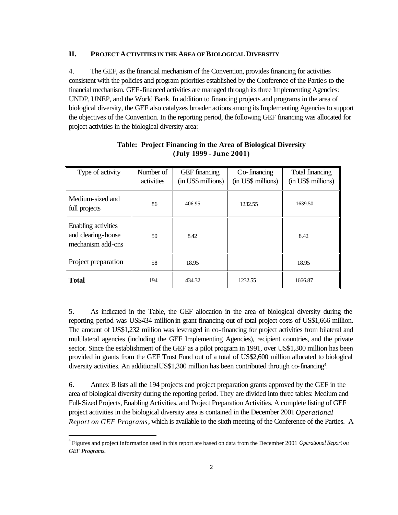### **II. PROJECT ACTIVITIES IN THE AREA OF BIOLOGICAL DIVERSITY**

4. The GEF, as the financial mechanism of the Convention, provides financing for activities consistent with the policies and program priorities established by the Conference of the Parties to the financial mechanism. GEF-financed activities are managed through its three Implementing Agencies: UNDP, UNEP, and the World Bank. In addition to financing projects and programs in the area of biological diversity, the GEF also catalyzes broader actions among its Implementing Agencies to support the objectives of the Convention. In the reporting period, the following GEF financing was allocated for project activities in the biological diversity area:

| Type of activity                                               | Number of<br>activities | <b>GEF</b> financing<br>(in US\$ millions) | Co-financing<br>(in US\$ millions) | Total financing<br>(in US\$ millions) |
|----------------------------------------------------------------|-------------------------|--------------------------------------------|------------------------------------|---------------------------------------|
| Medium-sized and<br>full projects                              | 86                      | 406.95                                     | 1232.55                            | 1639.50                               |
| Enabling activities<br>and clearing-house<br>mechanism add-ons | 50                      | 8.42                                       |                                    | 8.42                                  |
| Project preparation                                            | 58                      | 18.95                                      |                                    | 18.95                                 |
| <b>Total</b>                                                   | 194                     | 434.32                                     | 1232.55                            | 1666.87                               |

## **Table: Project Financing in the Area of Biological Diversity (July 1999 - June 2001)**

5. As indicated in the Table, the GEF allocation in the area of biological diversity during the reporting period was US\$434 million in grant financing out of total project costs of US\$1,666 million. The amount of US\$1,232 million was leveraged in co-financing for project activities from bilateral and multilateral agencies (including the GEF Implementing Agencies), recipient countries, and the private sector. Since the establishment of the GEF as a pilot program in 1991, over US\$1,300 million has been provided in grants from the GEF Trust Fund out of a total of US\$2,600 million allocated to biological diversity activities. An additional US\$1,300 million has been contributed through co-financing<sup>4</sup>.

6. Annex B lists all the 194 projects and project preparation grants approved by the GEF in the area of biological diversity during the reporting period. They are divided into three tables: Medium and Full-Sized Projects, Enabling Activities, and Project Preparation Activities. A complete listing of GEF project activities in the biological diversity area is contained in the December 2001 *Operational Report on GEF Programs*, which is available to the sixth meeting of the Conference of the Parties. A

j

<sup>4</sup> Figures and project information used in this report are based on data from the December 2001 *Operational Report on GEF Programs.*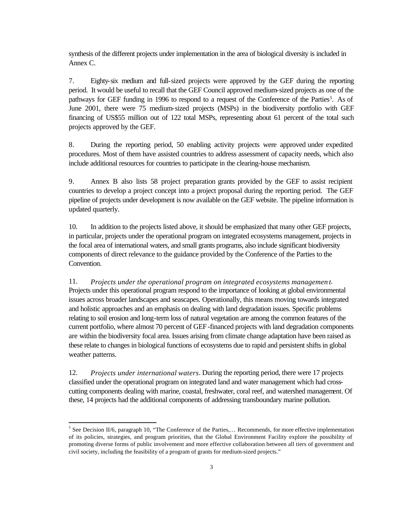synthesis of the different projects under implementation in the area of biological diversity is included in Annex C.

7. Eighty-six medium and full-sized projects were approved by the GEF during the reporting period. It would be useful to recall that the GEF Council approved medium-sized projects as one of the pathways for GEF funding in 1996 to respond to a request of the Conference of the Parties<sup>5</sup>. As of June 2001, there were 75 medium-sized projects (MSPs) in the biodiversity portfolio with GEF financing of US\$55 million out of 122 total MSPs, representing about 61 percent of the total such projects approved by the GEF.

8. During the reporting period, 50 enabling activity projects were approved under expedited procedures. Most of them have assisted countries to address assessment of capacity needs, which also include additional resources for countries to participate in the clearing-house mechanism.

9. Annex B also lists 58 project preparation grants provided by the GEF to assist recipient countries to develop a project concept into a project proposal during the reporting period. The GEF pipeline of projects under development is now available on the GEF website. The pipeline information is updated quarterly.

10. In addition to the projects listed above, it should be emphasized that many other GEF projects, in particular, projects under the operational program on integrated ecosystems management, projects in the focal area of international waters, and small grants programs, also include significant biodiversity components of direct relevance to the guidance provided by the Conference of the Parties to the Convention.

11. *Projects under the operational program on integrated ecosystems managemen t*. Projects under this operational program respond to the importance of looking at global environmental issues across broader landscapes and seascapes. Operationally, this means moving towards integrated and holistic approaches and an emphasis on dealing with land degradation issues. Specific problems relating to soil erosion and long-term loss of natural vegetation are among the common features of the current portfolio, where almost 70 percent of GEF-financed projects with land degradation components are within the biodiversity focal area. Issues arising from climate change adaptation have been raised as these relate to changes in biological functions of ecosystems due to rapid and persistent shifts in global weather patterns.

12. *Projects under international waters*. During the reporting period, there were 17 projects classified under the operational program on integrated land and water management which had crosscutting components dealing with marine, coastal, freshwater, coral reef, and watershed management. Of these, 14 projects had the additional components of addressing transboundary marine pollution.

l

<sup>&</sup>lt;sup>5</sup> See Decision II/6, paragraph 10, "The Conference of the Parties,... Recommends, for more effective implementation of its policies, strategies, and program priorities, that the Global Environment Facility explore the possibility of promoting diverse forms of public involvement and more effective collaboration between all tiers of government and civil society, including the feasibility of a program of grants for medium-sized projects."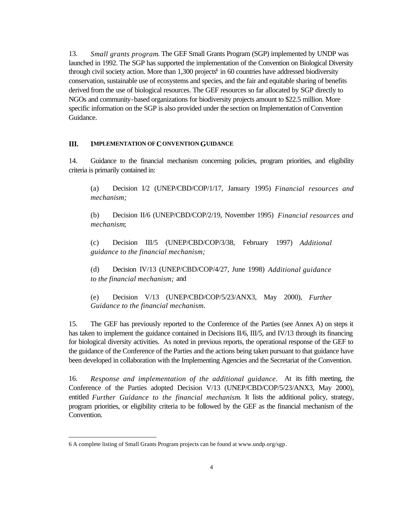13. *Small grants program*. The GEF Small Grants Program (SGP) implemented by UNDP was launched in 1992. The SGP has supported the implementation of the Convention on Biological Diversity through civil society action. More than  $1,300$  projects<sup>6</sup> in 60 countries have addressed biodiversity conservation, sustainable use of ecosystems and species, and the fair and equitable sharing of benefits derived from the use of biological resources. The GEF resources so far allocated by SGP directly to NGOs and community-based organizations for biodiversity projects amount to \$22.5 million. More specific information on the SGP is also provided under the section on Implementation of Convention Guidance.

#### **III. IMPLEMENTATION OF CONVENTION GUIDANCE**

14. Guidance to the financial mechanism concerning policies, program priorities, and eligibility criteria is primarily contained in:

(a) Decision I/2 (UNEP/CBD/COP/1/17, January 1995) *Financial resources and mechanism;* 

(b) Decision II/6 (UNEP/CBD/COP/2/19, November 1995) *Financial resources and mechanism*;

(c) Decision III/5 (UNEP/CBD/COP/3/38, February 1997) *Additional guidance to the financial mechanism;* 

(d) Decision IV/13 (UNEP/CBD/COP/4/27, June 1998) *Additional guidance to the financial mechanism;* and

(e) Decision V/13 (UNEP/CBD/COP/5/23/ANX3, May 2000), *Further Guidance to the financial mechanism.*

15. The GEF has previously reported to the Conference of the Parties (see Annex A) on steps it has taken to implement the guidance contained in Decisions II/6, III/5, and IV/13 through its financing for biological diversity activities. As noted in previous reports, the operational response of the GEF to the guidance of the Conference of the Parties and the actions being taken pursuant to that guidance have been developed in collaboration with the Implementing Agencies and the Secretariat of the Convention.

16. *Response and implementation of the additional guidance.* At its fifth meeting, the Conference of the Parties adopted Decision V/13 (UNEP/CBD/COP/5/23/ANX3, May 2000), entitled *Further Guidance to the financial mechanism*. It lists the additional policy, strategy, program priorities, or eligibility criteria to be followed by the GEF as the financial mechanism of the Convention.

l

<sup>6</sup> A complete listing of Small Grants Program projects can be found at www.undp.org/sgp.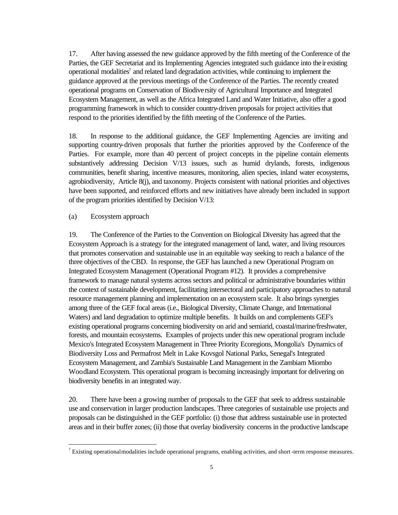17. After having assessed the new guidance approved by the fifth meeting of the Conference of the Parties, the GEF Secretariat and its Implementing Agencies integrated such guidance into their existing operational modalities<sup>7</sup> and related land degradation activities, while continuing to implement the guidance approved at the previous meetings of the Conference of the Parties. The recently created operational programs on Conservation of Biodiversity of Agricultural Importance and Integrated Ecosystem Management, as well as the Africa Integrated Land and Water Initiative, also offer a good programming framework in which to consider country-driven proposals for project activities that respond to the priorities identified by the fifth meeting of the Conference of the Parties.

18. In response to the additional guidance, the GEF Implementing Agencies are inviting and supporting country-driven proposals that further the priorities approved by the Conference of the Parties. For example, more than 40 percent of project concepts in the pipeline contain elements substantively addressing Decision V/13 issues, such as humid drylands, forests, indigenous communities, benefit sharing, incentive measures, monitoring, alien species, inland water ecosystems, agrobiodiversity, Article 8(j), and taxonomy. Projects consistent with national priorities and objectives have been supported, and reinforced efforts and new initiatives have already been included in support of the program priorities identified by Decision V/13:

#### (a) Ecosystem approach

l

19. The Conference of the Parties to the Convention on Biological Diversity has agreed that the Ecosystem Approach is a strategy for the integrated management of land, water, and living resources that promotes conservation and sustainable use in an equitable way seeking to reach a balance of the three objectives of the CBD. In response, the GEF has launched a new Operational Program on Integrated Ecosystem Management (Operational Program #12). It provides a comprehensive framework to manage natural systems across sectors and political or administrative boundaries within the context of sustainable development, facilitating intersectoral and participatory approaches to natural resource management planning and implementation on an ecosystem scale. It also brings synergies among three of the GEF focal areas (i.e., Biological Diversity, Climate Change, and International Waters) and land degradation to optimize multiple benefits. It builds on and complements GEF's existing operational programs concerning biodiversity on arid and semiarid, coastal/marine/freshwater, forests, and mountain ecosystems. Examples of projects under this new operational program include Mexico's Integrated Ecosystem Management in Three Priority Ecoregions, Mongolia's Dynamics of Biodiversity Loss and Permafrost Melt in Lake Kovsgol National Parks, Senegal's Integrated Ecosystem Management, and Zambia's Sustainable Land Management in the Zambiam Miombo Woodland Ecosystem. This operational program is becoming increasingly important for delivering on biodiversity benefits in an integrated way.

20. There have been a growing number of proposals to the GEF that seek to address sustainable use and conservation in larger production landscapes. Three categories of sustainable use projects and proposals can be distinguished in the GEF portfolio: (i) those that address sustainable use in protected areas and in their buffer zones; (ii) those that overlay biodiversity concerns in the productive landscape

 $^7$  Existing operational modalities include operational programs, enabling activities, and short-term response measures.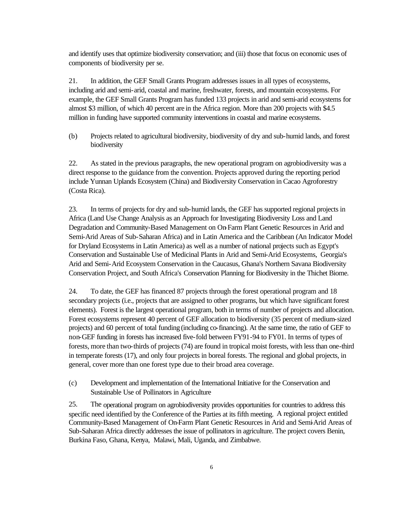and identify uses that optimize biodiversity conservation; and (iii) those that focus on economic uses of components of biodiversity per se.

21. In addition, the GEF Small Grants Program addresses issues in all types of ecosystems, including arid and semi-arid, coastal and marine, freshwater, forests, and mountain ecosystems. For example, the GEF Small Grants Program has funded 133 projects in arid and semi-arid ecosystems for almost \$3 million, of which 40 percent are in the Africa region. More than 200 projects with \$4.5 million in funding have supported community interventions in coastal and marine ecosystems.

(b) Projects related to agricultural biodiversity, biodiversity of dry and sub-humid lands, and forest biodiversity

22. As stated in the previous paragraphs, the new operational program on agrobiodiversity was a direct response to the guidance from the convention. Projects approved during the reporting period include Yunnan Uplands Ecosystem (China) and Biodiversity Conservation in Cacao Agroforestry (Costa Rica).

23. In terms of projects for dry and sub-humid lands, the GEF has supported regional projects in Africa (Land Use Change Analysis as an Approach for Investigating Biodiversity Loss and Land Degradation and Community-Based Management on On-Farm Plant Genetic Resources in Arid and Semi-Arid Areas of Sub-Saharan Africa) and in Latin America and the Caribbean (An Indicator Model for Dryland Ecosystems in Latin America) as well as a number of national projects such as Egypt's Conservation and Sustainable Use of Medicinal Plants in Arid and Semi-Arid Ecosystems, Georgia's Arid and Semi-Arid Ecosystem Conservation in the Caucasus, Ghana's Northern Savana Biodiversity Conservation Project, and South Africa's Conservation Planning for Biodiversity in the Thichet Biome.

24. To date, the GEF has financed 87 projects through the forest operational program and 18 secondary projects (i.e., projects that are assigned to other programs, but which have significant forest elements). Forest is the largest operational program, both in terms of number of projects and allocation. Forest ecosystems represent 40 percent of GEF allocation to biodiversity (35 percent of medium-sized projects) and 60 percent of total funding (including co-financing). At the same time, the ratio of GEF to non-GEF funding in forests has increased five-fold between FY91-94 to FY01. In terms of types of forests, more than two-thirds of projects (74) are found in tropical moist forests, with less than one-third in temperate forests (17), and only four projects in boreal forests. The regional and global projects, in general, cover more than one forest type due to their broad area coverage.

(c) Development and implementation of the International Initiative for the Conservation and Sustainable Use of Pollinators in Agriculture

25. The operational program on agrobiodiversity provides opportunities for countries to address this specific need identified by the Conference of the Parties at its fifth meeting. A regional project entitled Community-Based Management of On-Farm Plant Genetic Resources in Arid and Semi-Arid Areas of Sub-Saharan Africa directly addresses the issue of pollinators in agriculture. The project covers Benin, Burkina Faso, Ghana, Kenya, Malawi, Mali, Uganda, and Zimbabwe.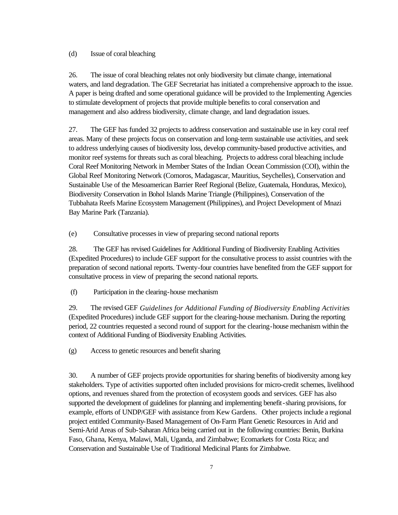## (d) Issue of coral bleaching

26. The issue of coral bleaching relates not only biodiversity but climate change, international waters, and land degradation. The GEF Secretariat has initiated a comprehensive approach to the issue. A paper is being drafted and some operational guidance will be provided to the Implementing Agencies to stimulate development of projects that provide multiple benefits to coral conservation and management and also address biodiversity, climate change, and land degradation issues.

27. The GEF has funded 32 projects to address conservation and sustainable use in key coral reef areas. Many of these projects focus on conservation and long-term sustainable use activities, and seek to address underlying causes of biodiversity loss, develop community-based productive activities, and monitor reef systems for threats such as coral bleaching. Projects to address coral bleaching include Coral Reef Monitoring Network in Member States of the Indian Ocean Commission (COI), within the Global Reef Monitoring Network (Comoros, Madagascar, Mauritius, Seychelles), Conservation and Sustainable Use of the Mesoamerican Barrier Reef Regional (Belize, Guatemala, Honduras, Mexico), Biodiversity Conservation in Bohol Islands Marine Triangle (Philippines), Conservation of the Tubbahata Reefs Marine Ecosystem Management (Philippines), and Project Development of Mnazi Bay Marine Park (Tanzania).

(e) Consultative processes in view of preparing second national reports

28. The GEF has revised Guidelines for Additional Funding of Biodiversity Enabling Activities (Expedited Procedures) to include GEF support for the consultative process to assist countries with the preparation of second national reports. Twenty-four countries have benefited from the GEF support for consultative process in view of preparing the second national reports.

(f) Participation in the clearing-house mechanism

29. The revised GEF *Guidelines for Additional Funding of Biodiversity Enabling Activities* (Expedited Procedures) include GEF support for the clearing-house mechanism. During the reporting period, 22 countries requested a second round of support for the clearing-house mechanism within the context of Additional Funding of Biodiversity Enabling Activities.

(g) Access to genetic resources and benefit sharing

30. A number of GEF projects provide opportunities for sharing benefits of biodiversity among key stakeholders. Type of activities supported often included provisions for micro-credit schemes, livelihood options, and revenues shared from the protection of ecosystem goods and services. GEF has also supported the development of guidelines for planning and implementing benefit-sharing provisions, for example, efforts of UNDP/GEF with assistance from Kew Gardens. Other projects include a regional project entitled Community-Based Management of On-Farm Plant Genetic Resources in Arid and Semi-Arid Areas of Sub-Saharan Africa being carried out in the following countries: Benin, Burkina Faso, Ghana, Kenya, Malawi, Mali, Uganda, and Zimbabwe; Ecomarkets for Costa Rica; and Conservation and Sustainable Use of Traditional Medicinal Plants for Zimbabwe.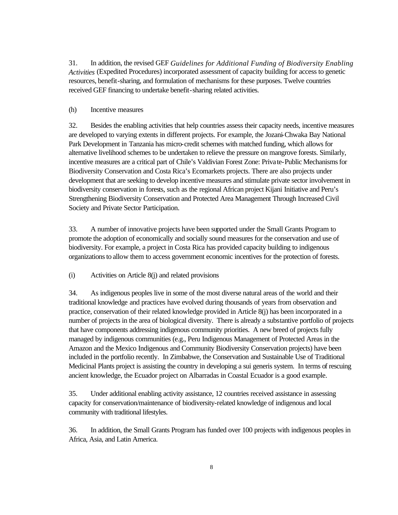31. In addition, the revised GEF *Guidelines for Additional Funding of Biodiversity Enabling Activities* (Expedited Procedures) incorporated assessment of capacity building for access to genetic resources, benefit-sharing, and formulation of mechanisms for these purposes. Twelve countries received GEF financing to undertake benefit-sharing related activities.

### (h) Incentive measures

32. Besides the enabling activities that help countries assess their capacity needs, incentive measures are developed to varying extents in different projects. For example, the Jozani-Chwaka Bay National Park Development in Tanzania has micro-credit schemes with matched funding, which allows for alternative livelihood schemes to be undertaken to relieve the pressure on mangrove forests. Similarly, incentive measures are a critical part of Chile's Valdivian Forest Zone: Private-Public Mechanisms for Biodiversity Conservation and Costa Rica's Ecomarkets projects. There are also projects under development that are seeking to develop incentive measures and stimulate private sector involvement in biodiversity conservation in forests, such as the regional African project Kijani Initiative and Peru's Strengthening Biodiversity Conservation and Protected Area Management Through Increased Civil Society and Private Sector Participation.

33. A number of innovative projects have been supported under the Small Grants Program to promote the adoption of economically and socially sound measures for the conservation and use of biodiversity. For example, a project in Costa Rica has provided capacity building to indigenous organizations to allow them to access government economic incentives for the protection of forests.

(i) Activities on Article 8(j) and related provisions

34. As indigenous peoples live in some of the most diverse natural areas of the world and their traditional knowledge and practices have evolved during thousands of years from observation and practice, conservation of their related knowledge provided in Article 8(j) has been incorporated in a number of projects in the area of biological diversity. There is already a substantive portfolio of projects that have components addressing indigenous community priorities. A new breed of projects fully managed by indigenous communities (e.g., Peru Indigenous Management of Protected Areas in the Amazon and the Mexico Indigenous and Community Biodiversity Conservation projects) have been included in the portfolio recently. In Zimbabwe, the Conservation and Sustainable Use of Traditional Medicinal Plants project is assisting the country in developing a sui generis system. In terms of rescuing ancient knowledge, the Ecuador project on Albarradas in Coastal Ecuador is a good example.

35. Under additional enabling activity assistance, 12 countries received assistance in assessing capacity for conservation/maintenance of biodiversity-related knowledge of indigenous and local community with traditional lifestyles.

36. In addition, the Small Grants Program has funded over 100 projects with indigenous peoples in Africa, Asia, and Latin America.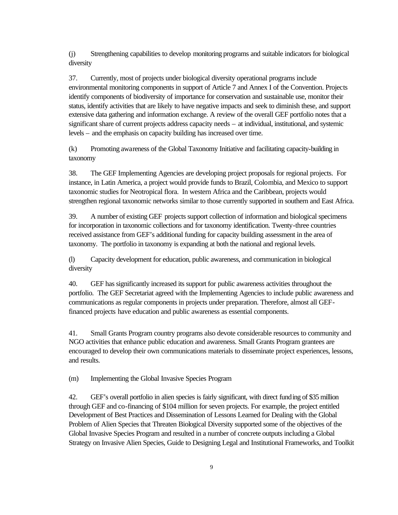(j) Strengthening capabilities to develop monitoring programs and suitable indicators for biological diversity

37. Currently, most of projects under biological diversity operational programs include environmental monitoring components in support of Article 7 and Annex I of the Convention. Projects identify components of biodiversity of importance for conservation and sustainable use, monitor their status, identify activities that are likely to have negative impacts and seek to diminish these, and support extensive data gathering and information exchange. A review of the overall GEF portfolio notes that a significant share of current projects address capacity needs – at individual, institutional, and systemic levels – and the emphasis on capacity building has increased over time.

(k) Promoting awareness of the Global Taxonomy Initiative and facilitating capacity-building in taxonomy

38. The GEF Implementing Agencies are developing project proposals for regional projects. For instance, in Latin America, a project would provide funds to Brazil, Colombia, and Mexico to support taxonomic studies for Neotropical flora. In western Africa and the Caribbean, projects would strengthen regional taxonomic networks similar to those currently supported in southern and East Africa.

39. A number of existing GEF projects support collection of information and biological specimens for incorporation in taxonomic collections and for taxonomy identification. Twenty-three countries received assistance from GEF's additional funding for capacity building assessment in the area of taxonomy. The portfolio in taxonomy is expanding at both the national and regional levels.

(l) Capacity development for education, public awareness, and communication in biological diversity

40. GEF has significantly increased its support for public awareness activities throughout the portfolio. The GEF Secretariat agreed with the Implementing Agencies to include public awareness and communications as regular components in projects under preparation. Therefore, almost all GEFfinanced projects have education and public awareness as essential components.

41. Small Grants Program country programs also devote considerable resources to community and NGO activities that enhance public education and awareness. Small Grants Program grantees are encouraged to develop their own communications materials to disseminate project experiences, lessons, and results.

(m) Implementing the Global Invasive Species Program

42. GEF's overall portfolio in alien species is fairly significant, with direct funding of \$35 million through GEF and co-financing of \$104 million for seven projects. For example, the project entitled Development of Best Practices and Dissemination of Lessons Learned for Dealing with the Global Problem of Alien Species that Threaten Biological Diversity supported some of the objectives of the Global Invasive Species Program and resulted in a number of concrete outputs including a Global Strategy on Invasive Alien Species, Guide to Designing Legal and Institutional Frameworks, and Toolkit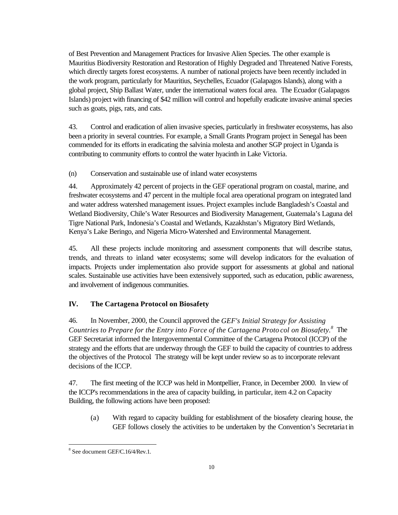of Best Prevention and Management Practices for Invasive Alien Species. The other example is Mauritius Biodiversity Restoration and Restoration of Highly Degraded and Threatened Native Forests, which directly targets forest ecosystems. A number of national projects have been recently included in the work program, particularly for Mauritius, Seychelles, Ecuador (Galapagos Islands), along with a global project, Ship Ballast Water, under the international waters focal area. The Ecuador (Galapagos Islands) project with financing of \$42 million will control and hopefully eradicate invasive animal species such as goats, pigs, rats, and cats.

43. Control and eradication of alien invasive species, particularly in freshwater ecosystems, has also been a priority in several countries. For example, a Small Grants Program project in Senegal has been commended for its efforts in eradicating the salvinia molesta and another SGP project in Uganda is contributing to community efforts to control the water hyacinth in Lake Victoria.

(n) Conservation and sustainable use of inland water ecosystems

44. Approximately 42 percent of projects in the GEF operational program on coastal, marine, and freshwater ecosystems and 47 percent in the multiple focal area operational program on integrated land and water address watershed management issues. Project examples include Bangladesh's Coastal and Wetland Biodiversity, Chile's Water Resources and Biodiversity Management, Guatemala's Laguna del Tigre National Park, Indonesia's Coastal and Wetlands, Kazakhstan's Migratory Bird Wetlands, Kenya's Lake Beringo, and Nigeria Micro-Watershed and Environmental Management.

45. All these projects include monitoring and assessment components that will describe status, trends, and threats to inland water ecosystems; some will develop indicators for the evaluation of impacts. Projects under implementation also provide support for assessments at global and national scales. Sustainable use activities have been extensively supported, such as education, public awareness, and involvement of indigenous communities.

## **IV. The Cartagena Protocol on Biosafety**

46. In November, 2000, the Council approved the *GEF's Initial Strategy for Assisting Countries to Prepare for the Entry into Force of the Cartagena Proto col on Biosafety.*<sup>8</sup> The GEF Secretariat informed the Intergovernmental Committee of the Cartagena Protocol (ICCP) of the strategy and the efforts that are underway through the GEF to build the capacity of countries to address the objectives of the Protocol. The strategy will be kept under review so as to incorporate relevant decisions of the ICCP.

47. The first meeting of the ICCP was held in Montpellier, France, in December 2000. In view of the ICCP's recommendations in the area of capacity building, in particular, item 4.2 on Capacity Building, the following actions have been proposed:

(a) With regard to capacity building for establishment of the biosafety clearing house, the GEF follows closely the activities to be undertaken by the Convention's Secretariat in

l

<sup>8</sup> See document GEF/C.16/4/Rev.1.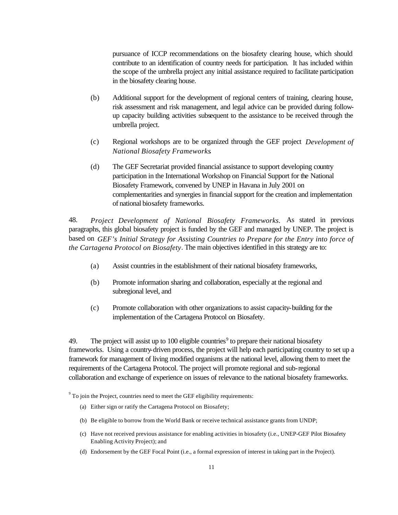pursuance of ICCP recommendations on the biosafety clearing house, which should contribute to an identification of country needs for participation. It has included within the scope of the umbrella project any initial assistance required to facilitate participation in the biosafety clearing house.

- (b) Additional support for the development of regional centers of training, clearing house, risk assessment and risk management, and legal advice can be provided during followup capacity building activities subsequent to the assistance to be received through the umbrella project.
- (c) Regional workshops are to be organized through the GEF project *Development of National Biosafety Frameworks*.
- (d) The GEF Secretariat provided financial assistance to support developing country participation in the International Workshop on Financial Support for the National Biosafety Framework, convened by UNEP in Havana in July 2001 on complementarities and synergies in financial support for the creation and implementation of national biosafety frameworks.

48. *Project Development of National Biosafety Frameworks.* As stated in previous paragraphs, this global biosafety project is funded by the GEF and managed by UNEP. The project is based on *GEF's Initial Strategy for Assisting Countries to Prepare for the Entry into force of the Cartagena Protocol on Biosafety*. The main objectives identified in this strategy are to:

- (a) Assist countries in the establishment of their national biosafety frameworks,
- (b) Promote information sharing and collaboration, especially at the regional and subregional level, and
- (c) Promote collaboration with other organizations to assist capacity-building for the implementation of the Cartagena Protocol on Biosafety.

49. The project will assist up to 100 eligible countries<sup>9</sup> to prepare their national biosafety frameworks. Using a country-driven process, the project will help each participating country to set up a framework for management of living modified organisms at the national level, allowing them to meet the requirements of the Cartagena Protocol. The project will promote regional and sub-regional collaboration and exchange of experience on issues of relevance to the national biosafety frameworks.

 $9^9$  To join the Project, countries need to meet the GEF eligibility requirements:

- (a) Either sign or ratify the Cartagena Protocol on Biosafety;
- (b) Be eligible to borrow from the World Bank or receive technical assistance grants from UNDP;
- (c) Have not received previous assistance for enabling activities in biosafety (i.e., UNEP-GEF Pilot Biosafety Enabling Activity Project); and
- (d) Endorsement by the GEF Focal Point (i.e., a formal expression of interest in taking part in the Project).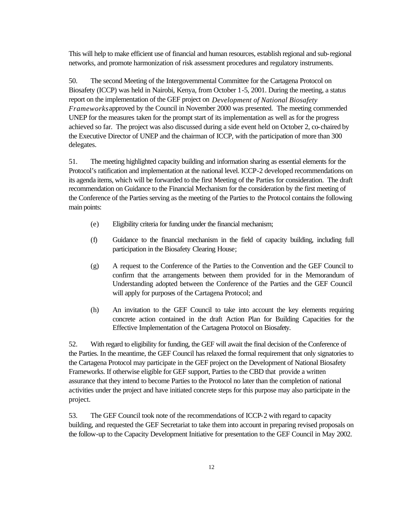This will help to make efficient use of financial and human resources, establish regional and sub-regional networks, and promote harmonization of risk assessment procedures and regulatory instruments.

50. The second Meeting of the Intergovernmental Committee for the Cartagena Protocol on Biosafety (ICCP) was held in Nairobi, Kenya, from October 1-5, 2001. During the meeting, a status report on the implementation of the GEF project on *Development of National Biosafety Frameworks* approved by the Council in November 2000 was presented. The meeting commended UNEP for the measures taken for the prompt start of its implementation as well as for the progress achieved so far. The project was also discussed during a side event held on October 2, co-chaired by the Executive Director of UNEP and the chairman of ICCP, with the participation of more than 300 delegates.

51. The meeting highlighted capacity building and information sharing as essential elements for the Protocol's ratification and implementation at the national level. ICCP-2 developed recommendations on its agenda items, which will be forwarded to the first Meeting of the Parties for consideration. The draft recommendation on Guidance to the Financial Mechanism for the consideration by the first meeting of the Conference of the Parties serving as the meeting of the Parties to the Protocol contains the following main points:

- (e) Eligibility criteria for funding under the financial mechanism;
- (f) Guidance to the financial mechanism in the field of capacity building, including full participation in the Biosafety Clearing House;
- (g) A request to the Conference of the Parties to the Convention and the GEF Council to confirm that the arrangements between them provided for in the Memorandum of Understanding adopted between the Conference of the Parties and the GEF Council will apply for purposes of the Cartagena Protocol; and
- (h) An invitation to the GEF Council to take into account the key elements requiring concrete action contained in the draft Action Plan for Building Capacities for the Effective Implementation of the Cartagena Protocol on Biosafety.

52. With regard to eligibility for funding, the GEF will await the final decision of the Conference of the Parties. In the meantime, the GEF Council has relaxed the formal requirement that only signatories to the Cartagena Protocol may participate in the GEF project on the Development of National Biosafety Frameworks. If otherwise eligible for GEF support, Parties to the CBD that provide a written assurance that they intend to become Parties to the Protocol no later than the completion of national activities under the project and have initiated concrete steps for this purpose may also participate in the project.

53. The GEF Council took note of the recommendations of ICCP-2 with regard to capacity building, and requested the GEF Secretariat to take them into account in preparing revised proposals on the follow-up to the Capacity Development Initiative for presentation to the GEF Council in May 2002.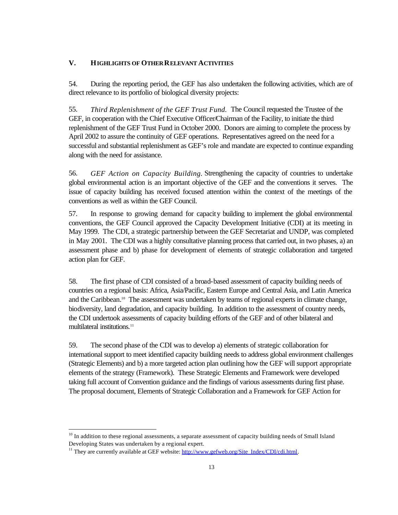## **V. HIGHLIGHTS OF OTHER RELEVANT ACTIVITIES**

54. During the reporting period, the GEF has also undertaken the following activities, which are of direct relevance to its portfolio of biological diversity projects:

55. *Third Replenishment of the GEF Trust Fund.* The Council requested the Trustee of the GEF, in cooperation with the Chief Executive Officer/Chairman of the Facility, to initiate the third replenishment of the GEF Trust Fund in October 2000. Donors are aiming to complete the process by April 2002 to assure the continuity of GEF operations. Representatives agreed on the need for a successful and substantial replenishment as GEF's role and mandate are expected to continue expanding along with the need for assistance.

56. *GEF Action on Capacity Building.* Strengthening the capacity of countries to undertake global environmental action is an important objective of the GEF and the conventions it serves. The issue of capacity building has received focused attention within the context of the meetings of the conventions as well as within the GEF Council.

57. In response to growing demand for capacity building to implement the global environmental conventions, the GEF Council approved the Capacity Development Initiative (CDI) at its meeting in May 1999. The CDI, a strategic partnership between the GEF Secretariat and UNDP, was completed in May 2001. The CDI was a highly consultative planning process that carried out, in two phases, a) an assessment phase and b) phase for development of elements of strategic collaboration and targeted action plan for GEF.

58. The first phase of CDI consisted of a broad-based assessment of capacity building needs of countries on a regional basis: Africa, Asia/Pacific, Eastern Europe and Central Asia, and Latin America and the Caribbean.<sup>10</sup> The assessment was undertaken by teams of regional experts in climate change, biodiversity, land degradation, and capacity building. In addition to the assessment of country needs, the CDI undertook assessments of capacity building efforts of the GEF and of other bilateral and multilateral institutions.<sup>11</sup>

59. The second phase of the CDI was to develop a) elements of strategic collaboration for international support to meet identified capacity building needs to address global environment challenges (Strategic Elements) and b) a more targeted action plan outlining how the GEF will support appropriate elements of the strategy (Framework). These Strategic Elements and Framework were developed taking full account of Convention guidance and the findings of various assessments during first phase. The proposal document, Elements of Strategic Collaboration and a Framework for GEF Action for

j

<sup>&</sup>lt;sup>10</sup> In addition to these regional assessments, a separate assessment of capacity building needs of Small Island Developing States was undertaken by a regional expert.

<sup>&</sup>lt;sup>11</sup> They are currently available at GEF website: http://www.gefweb.org/Site\_Index/CDI/cdi.html.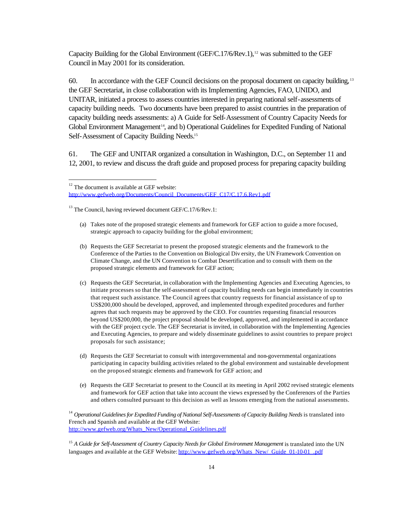Capacity Building for the Global Environment (GEF/C.17/6/Rev.1),<sup>12</sup> was submitted to the GEF Council in May 2001 for its consideration.

60. In accordance with the GEF Council decisions on the proposal document on capacity building, <sup>13</sup> the GEF Secretariat, in close collaboration with its Implementing Agencies, FAO, UNIDO, and UNITAR, initiated a process to assess countries interested in preparing national self-assessments of capacity building needs. Two documents have been prepared to assist countries in the preparation of capacity building needs assessments: a) A Guide for Self-Assessment of Country Capacity Needs for Global Environment Management<sup>14</sup>, and b) Operational Guidelines for Expedited Funding of National Self-Assessment of Capacity Building Needs.<sup>15</sup>

61. The GEF and UNITAR organized a consultation in Washington, D.C., on September 11 and 12, 2001, to review and discuss the draft guide and proposed process for preparing capacity building

 $12$  The document is available at GEF website: http://www.gefweb.org/Documents/Council\_Documents/GEF\_C17/C.17.6.Rev1.pdf

 $13$  The Council, having reviewed document GEF/C.17/6/Rev.1:

j

- (a) Takes note of the proposed strategic elements and framework for GEF action to guide a more focused, strategic approach to capacity building for the global environment;
- (b) Requests the GEF Secretariat to present the proposed strategic elements and the framework to the Conference of the Parties to the Convention on Biological Div ersity, the UN Framework Convention on Climate Change, and the UN Convention to Combat Desertification and to consult with them on the proposed strategic elements and framework for GEF action;
- (c) Requests the GEF Secretariat, in collaboration with the Implementing Agencies and Executing Agencies, to initiate processes so that the self-assessment of capacity building needs can begin immediately in countries that request such assistance. The Council agrees that country requests for financial assistance of up to US\$200,000 should be developed, approved, and implemented through expedited procedures and further agrees that such requests may be approved by the CEO. For countries requesting financial resources beyond US\$200,000, the project proposal should be developed, approved, and implemented in accordance with the GEF project cycle. The GEF Secretariat is invited, in collaboration with the Implementing Agencies and Executing Agencies, to prepare and widely disseminate guidelines to assist countries to prepare project proposals for such assistance;
- (d) Requests the GEF Secretariat to consult with intergovernmental and non-governmental organizations participating in capacity building activities related to the global environment and sustainable development on the propos ed strategic elements and framework for GEF action; and
- (e) Requests the GEF Secretariat to present to the Council at its meeting in April 2002 revised strategic elements and framework for GEF action that take into account the views expressed by the Conferences of the Parties and others consulted pursuant to this decision as well as lessons emerging from the national assessments.

<sup>14</sup> Operational Guidelines for Expedited Funding of National Self-Assessments of Capacity Building Needs is translated into French and Spanish and available at the GEF Website: http://www.gefweb.org/Whats\_New/Operational\_Guidelines.pdf

<sup>15</sup> A Guide for Self-Assessment of Country Capacity Needs for Global Environment Management is translated into the UN languages and available at the GEF Website: http://www.gefweb.org/Whats\_New/\_Guide\_01-10-01\_.pdf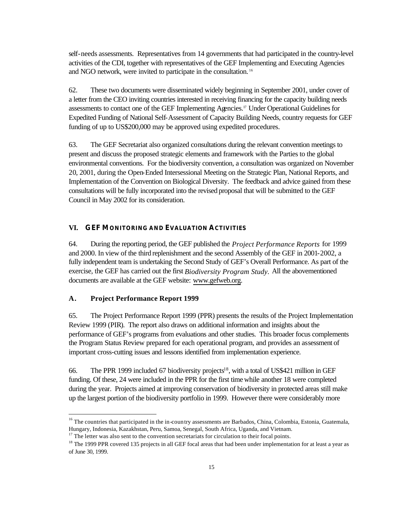self-needs assessments. Representatives from 14 governments that had participated in the country-level activities of the CDI, together with representatives of the GEF Implementing and Executing Agencies and NGO network, were invited to participate in the consultation. <sup>16</sup>

62. These two documents were disseminated widely beginning in September 2001, under cover of a letter from the CEO inviting countries interested in receiving financing for the capacity building needs assessments to contact one of the GEF Implementing Agencies.17 Under Operational Guidelines for Expedited Funding of National Self-Assessment of Capacity Building Needs, country requests for GEF funding of up to US\$200,000 may be approved using expedited procedures.

63. The GEF Secretariat also organized consultations during the relevant convention meetings to present and discuss the proposed strategic elements and framework with the Parties to the global environmental conventions. For the biodiversity convention, a consultation was organized on November 20, 2001, during the Open-Ended Intersessional Meeting on the Strategic Plan, National Reports, and Implementation of the Convention on Biological Diversity. The feedback and advice gained from these consultations will be fully incorporated into the revised proposal that will be submitted to the GEF Council in May 2002 for its consideration.

#### **VI. GEF MONITORING AND EVALUATION ACTIVITIES**

64. During the reporting period, the GEF published the *Project Performance Reports* for 1999 and 2000. In view of the third replenishment and the second Assembly of the GEF in 2001-2002, a fully independent team is undertaking the Second Study of GEF's Overall Performance. As part of the exercise, the GEF has carried out the first *Biodiversity Program Study.* All the abovementioned documents are available at the GEF website: www.gefweb.org.

#### **A. Project Performance Report 1999**

j

65. The Project Performance Report 1999 (PPR) presents the results of the Project Implementation Review 1999 (PIR). The report also draws on additional information and insights about the performance of GEF's programs from evaluations and other studies. This broader focus complements the Program Status Review prepared for each operational program, and provides an assessment of important cross-cutting issues and lessons identified from implementation experience.

66. The PPR 1999 included 67 biodiversity projects<sup>18</sup>, with a total of US\$421 million in GEF funding. Of these, 24 were included in the PPR for the first time while another 18 were completed during the year. Projects aimed at improving conservation of biodiversity in protected areas still make up the largest portion of the biodiversity portfolio in 1999. However there were considerably more

<sup>&</sup>lt;sup>16</sup> The countries that participated in the in-country assessments are Barbados, China, Colombia, Estonia, Guatemala, Hungary, Indonesia, Kazakhstan, Peru, Samoa, Senegal, South Africa, Uganda, and Vietnam.

<sup>&</sup>lt;sup>17</sup> The letter was also sent to the convention secretariats for circulation to their focal points.

<sup>&</sup>lt;sup>18</sup> The 1999 PPR covered 135 projects in all GEF focal areas that had been under implementation for at least a year as of June 30, 1999.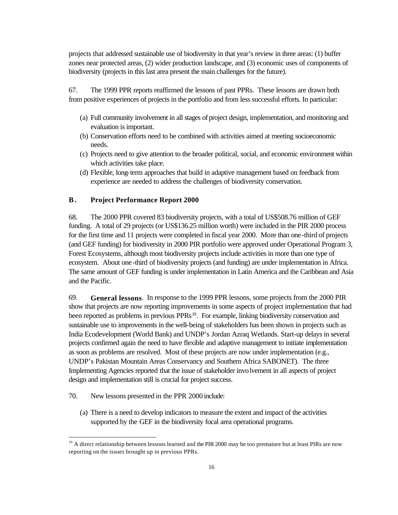projects that addressed sustainable use of biodiversity in that year's review in three areas: (1) buffer zones near protected areas, (2) wider production landscape, and (3) economic uses of components of biodiversity (projects in this last area present the main challenges for the future).

67. The 1999 PPR reports reaffirmed the lessons of past PPRs. These lessons are drawn both from positive experiences of projects in the portfolio and from less successful efforts. In particular:

- (a) Full community involvement in all stages of project design, implementation, and monitoring and evaluation is important.
- (b) Conservation efforts need to be combined with activities aimed at meeting socioeconomic needs.
- (c) Projects need to give attention to the broader political, social, and economic environment within which activities take place.
- (d) Flexible, long-term approaches that build in adaptive management based on feedback from experience are needed to address the challenges of biodiversity conservation.

### **B . Project Performance Report 2000**

68. The 2000 PPR covered 83 biodiversity projects, with a total of US\$508.76 million of GEF funding. A total of 29 projects (or US\$136.25 million worth) were included in the PIR 2000 process for the first time and 11 projects were completed in fiscal year 2000. More than one-third of projects (and GEF funding) for biodiversity in 2000 PIR portfolio were approved under Operational Program 3, Forest Ecosystems, although most biodiversity projects include activities in more than one type of ecosystem. About one-third of biodiversity projects (and funding) are under implementation in Africa. The same amount of GEF funding is under implementation in Latin America and the Caribbean and Asia and the Pacific.

69. **General lessons**. In response to the 1999 PPR lessons, some projects from the 2000 PIR show that projects are now reporting improvements in some aspects of project implementation that had been reported as problems in previous PPRs<sup>19</sup>. For example, linking biodiversity conservation and sustainable use to improvements in the well-being of stakeholders has been shown in projects such as India Ecodevelopment (World Bank) and UNDP's Jordan Azraq Wetlands. Start-up delays in several projects confirmed again the need to have flexible and adaptive management to initiate implementation as soon as problems are resolved. Most of these projects are now under implementation (e.g., UNDP's Pakistan Mountain Areas Conservancy and Southern Africa SABONET). The three Implementing Agencies reported that the issue of stakeholder involvement in all aspects of project design and implementation still is crucial for project success.

70. New lessons presented in the PPR 2000 include:

l

(a) There is a need to develop indicators to measure the extent and impact of the activities supported by the GEF in the biodiversity focal area operational programs.

<sup>&</sup>lt;sup>19</sup> A direct relationship between lessons learned and the PIR 2000 may be too premature but at least PIRs are now reporting on the issues brought up in previous PPRs.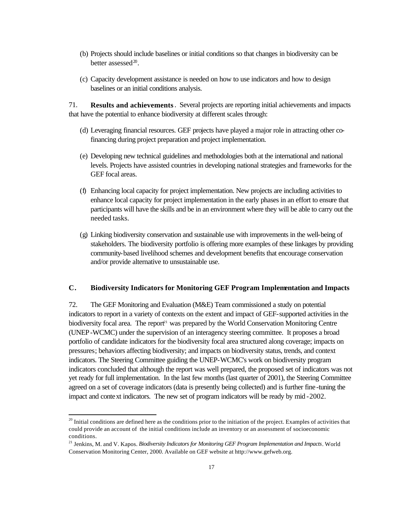- (b) Projects should include baselines or initial conditions so that changes in biodiversity can be better assessed<sup>20</sup>.
- (c) Capacity development assistance is needed on how to use indicators and how to design baselines or an initial conditions analysis.

71. **Results and achievements**. Several projects are reporting initial achievements and impacts that have the potential to enhance biodiversity at different scales through:

- (d) Leveraging financial resources. GEF projects have played a major role in attracting other cofinancing during project preparation and project implementation.
- (e) Developing new technical guidelines and methodologies both at the international and national levels. Projects have assisted countries in developing national strategies and frameworks for the GEF focal areas.
- (f) Enhancing local capacity for project implementation. New projects are including activities to enhance local capacity for project implementation in the early phases in an effort to ensure that participants will have the skills and be in an environment where they will be able to carry out the needed tasks.
- (g) Linking biodiversity conservation and sustainable use with improvements in the well-being of stakeholders. The biodiversity portfolio is offering more examples of these linkages by providing community-based livelihood schemes and development benefits that encourage conservation and/or provide alternative to unsustainable use.

### **C. Biodiversity Indicators for Monitoring GEF Program Implementation and Impacts**

72. The GEF Monitoring and Evaluation (M&E) Team commissioned a study on potential indicators to report in a variety of contexts on the extent and impact of GEF-supported activities in the biodiversity focal area. The report<sup>21</sup> was prepared by the World Conservation Monitoring Centre (UNEP-WCMC) under the supervision of an interagency steering committee. It proposes a broad portfolio of candidate indicators for the biodiversity focal area structured along coverage; impacts on pressures; behaviors affecting biodiversity; and impacts on biodiversity status, trends, and context indicators. The Steering Committee guiding the UNEP-WCMC's work on biodiversity program indicators concluded that although the report was well prepared, the proposed set of indicators was not yet ready for full implementation. In the last few months (last quarter of 2001), the Steering Committee agreed on a set of coverage indicators (data is presently being collected) and is further fine-tuning the impact and context indicators. The new set of program indicators will be ready by mid -2002.

j

<sup>&</sup>lt;sup>20</sup> Initial conditions are defined here as the conditions prior to the initiation of the project. Examples of activities that could provide an account of the initial conditions include an inventory or an assessment of socioeconomic conditions.

<sup>21</sup> Jenkins, M. and V. Kapos. *Biodiversity Indicators for Monitoring GEF Program Implementation and Impacts*. World Conservation Monitoring Center, 2000. Available on GEF website at http://www.gefweb.org.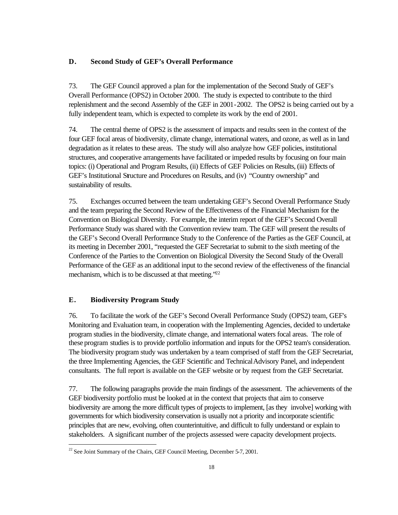## **D. Second Study of GEF's Overall Performance**

73. The GEF Council approved a plan for the implementation of the Second Study of GEF's Overall Performance (OPS2) in October 2000. The study is expected to contribute to the third replenishment and the second Assembly of the GEF in 2001-2002. The OPS2 is being carried out by a fully independent team, which is expected to complete its work by the end of 2001.

74. The central theme of OPS2 is the assessment of impacts and results seen in the context of the four GEF focal areas of biodiversity, climate change, international waters, and ozone, as well as in land degradation as it relates to these areas. The study will also analyze how GEF policies, institutional structures, and cooperative arrangements have facilitated or impeded results by focusing on four main topics: (i) Operational and Program Results, (ii) Effects of GEF Policies on Results, (iii) Effects of GEF's Institutional Structure and Procedures on Results, and (iv) "Country ownership" and sustainability of results.

75. Exchanges occurred between the team undertaking GEF's Second Overall Performance Study and the team preparing the Second Review of the Effectiveness of the Financial Mechanism for the Convention on Biological Diversity. For example, the interim report of the GEF's Second Overall Performance Study was shared with the Convention review team. The GEF will present the results of the GEF's Second Overall Performance Study to the Conference of the Parties as the GEF Council, at its meeting in December 2001, "requested the GEF Secretariat to submit to the sixth meeting of the Conference of the Parties to the Convention on Biological Diversity the Second Study of the Overall Performance of the GEF as an additional input to the second review of the effectiveness of the financial mechanism, which is to be discussed at that meeting.<sup>722</sup>

## **E. Biodiversity Program Study**

l

76. To facilitate the work of the GEF's Second Overall Performance Study (OPS2) team, GEF's Monitoring and Evaluation team, in cooperation with the Implementing Agencies, decided to undertake program studies in the biodiversity, climate change, and international waters focal areas. The role of these program studies is to provide portfolio information and inputs for the OPS2 team's consideration. The biodiversity program study was undertaken by a team comprised of staff from the GEF Secretariat, the three Implementing Agencies, the GEF Scientific and Technical Advisory Panel, and independent consultants. The full report is available on the GEF website or by request from the GEF Secretariat.

77. The following paragraphs provide the main findings of the assessment. The achievements of the GEF biodiversity portfolio must be looked at in the context that projects that aim to conserve biodiversity are among the more difficult types of projects to implement, [as they involve] working with governments for which biodiversity conservation is usually not a priority and incorporate scientific principles that are new, evolving, often counterintuitive, and difficult to fully understand or explain to stakeholders. A significant number of the projects assessed were capacity development projects.

 $^{22}$  See Joint Summary of the Chairs, GEF Council Meeting, December 5-7, 2001.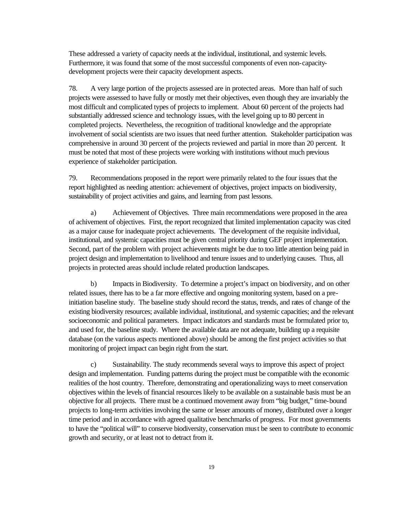These addressed a variety of capacity needs at the individual, institutional, and systemic levels. Furthermore, it was found that some of the most successful components of even non-capacitydevelopment projects were their capacity development aspects.

78. A very large portion of the projects assessed are in protected areas. More than half of such projects were assessed to have fully or mostly met their objectives, even though they are invariably the most difficult and complicated types of projects to implement. About 60 percent of the projects had substantially addressed science and technology issues, with the level going up to 80 percent in completed projects. Nevertheless, the recognition of traditional knowledge and the appropriate involvement of social scientists are two issues that need further attention. Stakeholder participation was comprehensive in around 30 percent of the projects reviewed and partial in more than 20 percent. It must be noted that most of these projects were working with institutions without much previous experience of stakeholder participation.

79. Recommendations proposed in the report were primarily related to the four issues that the report highlighted as needing attention: achievement of objectives, project impacts on biodiversity, sustainability of project activities and gains, and learning from past lessons.

a) Achievement of Objectives. Three main recommendations were proposed in the area of achivement of objectives. First, the report recognized that limited implementation capacity was cited as a major cause for inadequate project achievements. The development of the requisite individual, institutional, and systemic capacities must be given central priority during GEF project implementation. Second, part of the problem with project achievements might be due to too little attention being paid in project design and implementation to livelihood and tenure issues and to underlying causes. Thus, all projects in protected areas should include related production landscapes.

b) Impacts in Biodiversity. To determine a project's impact on biodiversity, and on other related issues, there has to be a far more effective and ongoing monitoring system, based on a preinitiation baseline study. The baseline study should record the status, trends, and rates of change of the existing biodiversity resources; available individual, institutional, and systemic capacities; and the relevant socioeconomic and political parameters. Impact indicators and standards must be formulated prior to, and used for, the baseline study. Where the available data are not adequate, building up a requisite database (on the various aspects mentioned above) should be among the first project activities so that monitoring of project impact can begin right from the start.

c) Sustainability. The study recommends several ways to improve this aspect of project design and implementation. Funding patterns during the project must be compatible with the economic realities of the host country. Therefore, demonstrating and operationalizing ways to meet conservation objectives within the levels of financial resources likely to be available on a sustainable basis must be an objective for all projects. There must be a continued movement away from "big budget," time-bound projects to long-term activities involving the same or lesser amounts of money, distributed over a longer time period and in accordance with agreed qualitative benchmarks of progress. For most governments to have the "political will" to conserve biodiversity, conservation must be seen to contribute to economic growth and security, or at least not to detract from it.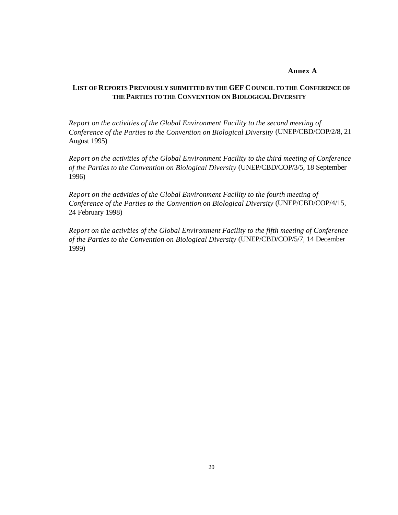#### **Annex A**

## **LIST OF REPORTS PREVIOUSLY SUBMITTED BY THE GEF COUNCIL TO THE CONFERENCE OF THE PARTIES TO THE CONVENTION ON BIOLOGICAL DIVERSITY**

*Report on the activities of the Global Environment Facility to the second meeting of Conference of the Parties to the Convention on Biological Diversity* (UNEP/CBD/COP/2/8, 21 August 1995)

*Report on the activities of the Global Environment Facility to the third meeting of Conference of the Parties to the Convention on Biological Diversity* (UNEP/CBD/COP/3/5, 18 September 1996)

*Report on the activities of the Global Environment Facility to the fourth meeting of Conference of the Parties to the Convention on Biological Diversity* (UNEP/CBD/COP/4/15, 24 February 1998)

*Report on the activities of the Global Environment Facility to the fifth meeting of Conference of the Parties to the Convention on Biological Diversity* (UNEP/CBD/COP/5/7, 14 December 1999)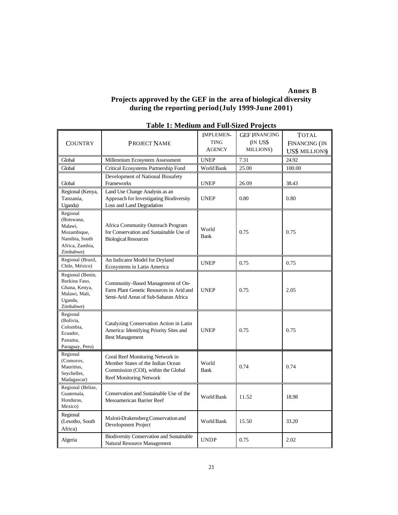## **Annex B**

## **Projects approved by the GEF in the area of biological diversity during the reporting period (July 1999-June 2001)**

| <b>COUNTRY</b>                                                                                     | <b>PROJECT NAME</b>                                                                                                                     | <b>IMPLEMEN-</b><br><b>TING</b><br><b>AGENCY</b> | <b>GEF FINANCING</b><br>(IN US\$<br>MILLIONS) | <b>TOTAL</b><br>FINANCING (IN<br><b>US\$ MILLIONS</b> |
|----------------------------------------------------------------------------------------------------|-----------------------------------------------------------------------------------------------------------------------------------------|--------------------------------------------------|-----------------------------------------------|-------------------------------------------------------|
| Global                                                                                             | Millennium Ecosystem Assessment                                                                                                         | <b>UNEP</b>                                      | 7.31                                          | 24.92                                                 |
| Global                                                                                             | Critical Ecosystems Partnership Fund                                                                                                    | World Bank                                       | 25.00                                         | 100.00                                                |
| Global                                                                                             | Development of National Biosafety<br>Frameworks                                                                                         | <b>UNEP</b>                                      | 26.09                                         | 38.43                                                 |
| Regional (Kenya,<br>Tanzania,<br>Uganda)                                                           | Land Use Change Analysis as an<br>Approach for Investigating Biodiversity<br>Loss and Land Degradation                                  | <b>UNEP</b>                                      | 0.80                                          | 0.80                                                  |
| Regional<br>(Botswana,<br>Malawi.<br>Mozambique,<br>Namibia, South<br>Africa, Zambia,<br>Zimbabwe) | Africa Community Outreach Program<br>for Conservation and Sustainable Use of<br><b>Biological Resources</b>                             | World<br><b>Bank</b>                             | 0.75                                          | 0.75                                                  |
| Regional (Brazil,<br>Chile, México)                                                                | An Indicator Model for Dryland<br>Ecosystems in Latin America                                                                           | <b>UNEP</b>                                      | 0.75                                          | 0.75                                                  |
| Regional (Benin,<br>Burkina Faso,<br>Ghana, Kenya,<br>Malawi, Mali,<br>Uganda,<br>Zimbabwe)        | Community-Based Management of On-<br>Farm Plant Genetic Resources in Arid and<br>Semi-Arid Areas of Sub-Saharan Africa                  | <b>UNEP</b>                                      | 0.75                                          | 2.05                                                  |
| Regional<br>(Bolivia,<br>Colombia,<br>Ecuador,<br>Panama,<br>Paraguay, Peru)                       | Catalyzing Conservation Action in Latin<br>America: Identifying Priority Sites and<br><b>Best Management</b>                            | <b>UNEP</b>                                      | 0.75                                          | 0.75                                                  |
| Regional<br>(Comoros,<br>Mauritius,<br>Seychelles,<br>Madagascar)                                  | Coral Reef Monitoring Network in<br>Member States of the Indian Ocean<br>Commission (COI), within the Global<br>Reef Monitoring Network | World<br><b>Bank</b>                             | 0.74                                          | 0.74                                                  |
| Regional (Belize,<br>Guatemala,<br>Honduras,<br>Mexico)                                            | Conservation and Sustainable Use of the<br>Mesoamerican Barrier Reef                                                                    | <b>World Bank</b>                                | 11.52                                         | 18.98                                                 |
| Regional<br>(Lesotho, South<br>Africa)                                                             | Maloti-Drakensberg Conservation and<br>Development Project                                                                              | World Bank                                       | 15.50                                         | 33.20                                                 |
| Algeria                                                                                            | Biodiversity Conservation and Sustainable<br>Natural Resource Management                                                                | <b>UNDP</b>                                      | 0.75                                          | 2.02                                                  |

## **Table 1: Medium and Full-Sized Projects**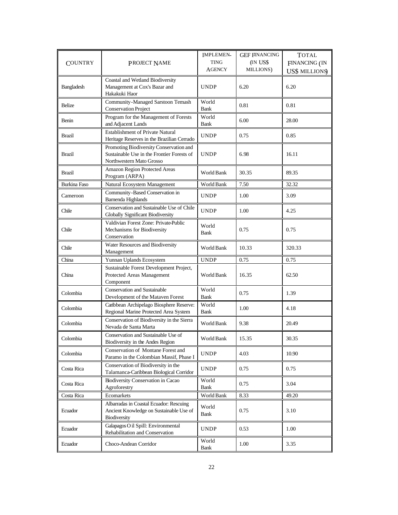| <b>COUNTRY</b>      | <b>PROJECT NAME</b>                                                                                               | <b>IMPLEMEN-</b><br><b>TING</b><br><b>AGENCY</b> | <b>GEF FINANCING</b><br>(IN US\$<br>MILLIONS) | <b>TOTAL</b><br><b>FINANCING</b> (IN<br><b>US\$ MILLIONS</b> |
|---------------------|-------------------------------------------------------------------------------------------------------------------|--------------------------------------------------|-----------------------------------------------|--------------------------------------------------------------|
| Bangladesh          | Coastal and Wetland Biodiversity<br>Management at Cox's Bazar and<br>Hakakuki Haor                                | <b>UNDP</b>                                      | 6.20                                          | 6.20                                                         |
| Belize              | Community-Managed Sarstoon Temash<br><b>Conservation Project</b>                                                  | World<br><b>Bank</b>                             | 0.81                                          | 0.81                                                         |
| Benin               | Program for the Management of Forests<br>and Adjacent Lands                                                       | World<br><b>Bank</b>                             | 6.00                                          | 28.00                                                        |
| Brazil              | <b>Establishment of Private Natural</b><br>Heritage Reserves in the Brazilian Cerrado                             | <b>UNDP</b>                                      | 0.75                                          | 0.85                                                         |
| <b>Brazil</b>       | Promoting Biodiversity Conservation and<br>Sustainable Use in the Frontier Forests of<br>Northwestern Mato Grosso | <b>UNDP</b>                                      | 6.98                                          | 16.11                                                        |
| Brazil              | Amazon Region Protected Areas<br>Program (ARPA)                                                                   | World Bank                                       | 30.35                                         | 89.35                                                        |
| <b>Burkina Faso</b> | Natural Ecosystem Management                                                                                      | World Bank                                       | 7.50                                          | 32.32                                                        |
| Cameroon            | Community-Based Conservation in<br>Bamenda Highlands                                                              | <b>UNDP</b>                                      | 1.00                                          | 3.09                                                         |
| Chile               | Conservation and Sustainable Use of Chile<br>Globally Significant Biodiversity                                    | <b>UNDP</b>                                      | 1.00                                          | 4.25                                                         |
| Chile               | Valdivian Forest Zone: Private-Public<br>Mechanisms for Biodiversity<br>Conservation                              | World<br>Bank                                    | 0.75                                          | 0.75                                                         |
| Chile               | Water Resources and Biodiversity<br>Management                                                                    | World Bank                                       | 10.33                                         | 320.33                                                       |
| China               | Yunnan Uplands Ecosystem                                                                                          | <b>UNDP</b>                                      | 0.75                                          | 0.75                                                         |
| China               | Sustainable Forest Development Project,<br>Protected Areas Management<br>Component                                | World Bank                                       | 16.35                                         | 62.50                                                        |
| Colombia            | <b>Conservation and Sustainable</b><br>Development of the Mataven Forest                                          | World<br><b>Bank</b>                             | 0.75                                          | 1.39                                                         |
| Colombia            | Caribbean Archipelago Biosphere Reserve:<br>Regional Marine Protected Area System                                 | World<br><b>Bank</b>                             | 1.00                                          | 4.18                                                         |
| Colombia            | Conservation of Biodiversity in the Sierra<br>Nevada de Santa Marta                                               | World Bank                                       | 9.38                                          | 20.49                                                        |
| Colombia            | Conservation and Sustainable Use of<br>Biodiversity in the Andes Region                                           | World Bank                                       | 15.35                                         | 30.35                                                        |
| Colombia            | Conservation of Montane Forest and<br>Paramo in the Colombian Massif, Phase I                                     | <b>UNDP</b>                                      | 4.03                                          | 10.90                                                        |
| Costa Rica          | Conservation of Biodiversity in the<br>Talamanca-Caribbean Biological Corridor                                    | <b>UNDP</b>                                      | 0.75                                          | 0.75                                                         |
| Costa Rica          | Biodiversity Conservation in Cacao<br>Agroforestry                                                                | World<br>Bank                                    | 0.75                                          | 3.04                                                         |
| Costa Rica          | Ecomarkets                                                                                                        | World Bank                                       | 8.33                                          | 49.20                                                        |
| Ecuador             | Albarradas in Coastal Ecuador: Rescuing<br>Ancient Knowledge on Sustainable Use of<br>Biodiversity                | World<br>Bank                                    | 0.75                                          | 3.10                                                         |
| Ecuador             | Galapagos O il Spill: Environmental<br>Rehabilitation and Conservation                                            | <b>UNDP</b>                                      | 0.53                                          | 1.00                                                         |
| Ecuador             | Choco-Andean Corridor                                                                                             | World<br><b>Bank</b>                             | 1.00                                          | 3.35                                                         |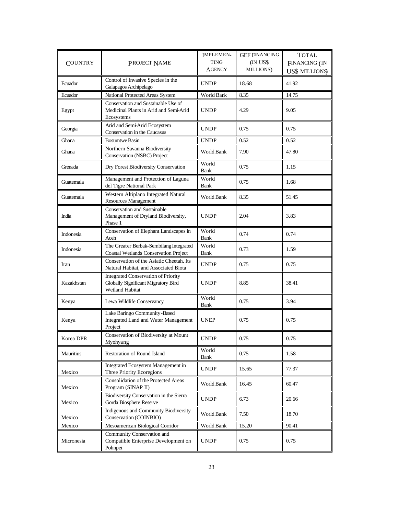| <b>COUNTRY</b> | PROJECT NAME                                                                                         | <b>IMPLEMEN-</b><br><b>TING</b><br><b>AGENCY</b> | <b>GEF FINANCING</b><br>(IN US\$<br>MILLIONS) | <b>TOTAL</b><br><b>FINANCING</b> (IN<br><b>US\$ MILLIONS</b> |
|----------------|------------------------------------------------------------------------------------------------------|--------------------------------------------------|-----------------------------------------------|--------------------------------------------------------------|
| Ecuador        | Control of Invasive Species in the<br>Galapagos Archipelago                                          | UNDP                                             | 18.68                                         | 41.92                                                        |
| Ecuador        | National Protected Areas System                                                                      | World Bank                                       | 8.35                                          | 14.75                                                        |
| Egypt          | Conservation and Sustainable Use of<br>Medicinal Plants in Arid and Semi-Arid<br>Ecosystems          | <b>UNDP</b>                                      | 4.29                                          | 9.05                                                         |
| Georgia        | Arid and Semi-Arid Ecosystem<br>Conservation in the Caucasus                                         | <b>UNDP</b>                                      | 0.75                                          | 0.75                                                         |
| Ghana          | <b>Bosumtwe Basin</b>                                                                                | <b>UNDP</b>                                      | 0.52                                          | 0.52                                                         |
| Ghana          | Northern Savanna Biodiversity<br>Conservation (NSBC) Project                                         | World Bank                                       | 7.90                                          | 47.80                                                        |
| Grenada        | Dry Forest Biodiversity Conservation                                                                 | World<br><b>Bank</b>                             | 0.75                                          | 1.15                                                         |
| Guatemala      | Management and Protection of Laguna<br>del Tigre National Park                                       | World<br><b>Bank</b>                             | 0.75                                          | 1.68                                                         |
| Guatemala      | Western Altiplano Integrated Natural<br>Resources Management                                         | World Bank                                       | 8.35                                          | 51.45                                                        |
| India          | <b>Conservation and Sustainable</b><br>Management of Dryland Biodiversity,<br>Phase 1                | <b>UNDP</b>                                      | 2.04                                          | 3.83                                                         |
| Indonesia      | Conservation of Elephant Landscapes in<br>Aceh                                                       | World<br><b>Bank</b>                             | 0.74                                          | 0.74                                                         |
| Indonesia      | The Greater Berbak-Sembilang Integrated<br><b>Coastal Wetlands Conservation Project</b>              | World<br><b>Bank</b>                             | 0.73                                          | 1.59                                                         |
| Iran           | Conservation of the Asiatic Cheetah, Its<br>Natural Habitat, and Associated Biota                    | <b>UNDP</b>                                      | 0.75                                          | 0.75                                                         |
| Kazakhstan     | <b>Integrated Conservation of Priority</b><br>Globally Significant Migratory Bird<br>Wetland Habitat | <b>UNDP</b>                                      | 8.85                                          | 38.41                                                        |
| Kenya          | Lewa Wildlife Conservancy                                                                            | World<br>Bank                                    | 0.75                                          | 3.94                                                         |
| Kenya          | Lake Baringo Community-Based<br>Integrated Land and Water Management<br>Project                      | <b>UNEP</b>                                      | 0.75                                          | 0.75                                                         |
| Korea DPR      | Conservation of Biodiversity at Mount<br>Myohyang                                                    | <b>UNDP</b>                                      | 0.75                                          | 0.75                                                         |
| Mauritius      | Restoration of Round Island                                                                          | World<br>Bank                                    | 0.75                                          | 1.58                                                         |
| Mexico         | Integrated Ecosystem Management in<br>Three Priority Ecoregions                                      | <b>UNDP</b>                                      | 15.65                                         | 77.37                                                        |
| Mexico         | Consolidation of the Protected Areas<br>Program (SINAP II)                                           | World Bank                                       | 16.45                                         | 60.47                                                        |
| Mexico         | Biodiversity Conservation in the Sierra<br>Gorda Biosphere Reserve                                   | <b>UNDP</b>                                      | 6.73                                          | 20.66                                                        |
| Mexico         | Indigenous and Community Biodiversity<br>Conservation (COINBIO)                                      | World Bank                                       | 7.50                                          | 18.70                                                        |
| Mexico         | Mesoamerican Biological Corridor                                                                     | World Bank                                       | 15.20                                         | 90.41                                                        |
| Micronesia     | Community Conservation and<br>Compatible Enterprise Development on<br>Pohnpei                        | <b>UNDP</b>                                      | 0.75                                          | 0.75                                                         |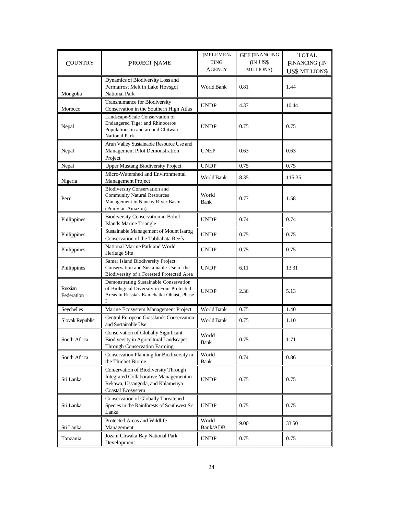| <b>COUNTRY</b>        | <b>PROJECT NAME</b>                                                                                                                      | <b>IMPLEMEN-</b><br><b>TING</b><br><b>AGENCY</b> | <b>GEF FINANCING</b><br>(IN US\$<br>MILLIONS) | <b>TOTAL</b><br><b>FINANCING</b> (IN<br><b>US\$ MILLIONS</b> |
|-----------------------|------------------------------------------------------------------------------------------------------------------------------------------|--------------------------------------------------|-----------------------------------------------|--------------------------------------------------------------|
| Mongolia              | Dynamics of Biodiversity Loss and<br>Permafrost Melt in Lake Hovsgol<br><b>National Park</b>                                             | <b>World Bank</b>                                | 0.81                                          | 1.44                                                         |
| Morocco               | Transhumance for Biodiversity<br>Conservation in the Southern High Atlas                                                                 | <b>UNDP</b>                                      | 4.37                                          | 10.44                                                        |
| Nepal                 | Landscape-Scale Conservation of<br><b>Endangered Tiger and Rhinoceros</b><br>Populations in and around Chitwan<br><b>National Park</b>   | <b>UNDP</b>                                      | 0.75                                          | 0.75                                                         |
| Nepal                 | Arun Valley Sustainable Resource Use and<br>Management Pilot Demonstration<br>Project                                                    | <b>UNEP</b>                                      | 0.63                                          | 0.63                                                         |
| Nepal                 | <b>Upper Mustang Biodiversity Project</b>                                                                                                | <b>UNDP</b>                                      | 0.75                                          | 0.75                                                         |
| Nigeria               | Micro-Watershed and Environmental<br>Management Project                                                                                  | World Bank                                       | 8.35                                          | 115.35                                                       |
| Peru                  | <b>Biodiversity Conservation and</b><br><b>Community Natural Resources</b><br>Management in Nancay River Basin<br>(Peruvian Amazon)      | World<br>Bank                                    | 0.77                                          | 1.58                                                         |
| Philippines           | <b>Biodiversity Conservation in Bohol</b><br>Islands Marine Triangle                                                                     | <b>UNDP</b>                                      | 0.74                                          | 0.74                                                         |
| Philippines           | Sustainable Management of Mount Isarog<br>Conservation of the Tubbahata Reefs                                                            | <b>UNDP</b>                                      | 0.75                                          | 0.75                                                         |
| Philippines           | National Marine Park and World<br>Heritage Site                                                                                          | <b>UNDP</b>                                      | 0.75                                          | 0.75                                                         |
| Philippines           | Samar Island Biodiversity Project:<br>Conservation and Sustainable Use of the<br>Biodiversity of a Forested Protected Area               | <b>UNDP</b>                                      | 6.11                                          | 13.31                                                        |
| Russian<br>Federation | Demonstrating Sustainable Conservation<br>of Biological Diversity in Four Protected<br>Areas in Russia's Kamchatka Oblast, Phase<br>I    | <b>UNDP</b>                                      | 2.36                                          | 5.13                                                         |
| Seychelles            | Marine Ecosystem Management Project                                                                                                      | World Bank                                       | 0.75                                          | 1.40                                                         |
| Slovak Republic       | Central European Grasslands Conservation<br>and Sustainable Use                                                                          | World Bank                                       | 0.75                                          | 1.10                                                         |
| South Africa          | Conservation of Globally Significant<br>Biodiversity in Agricultural Landscapes<br>Through Conservation Farming                          | World<br><b>Bank</b>                             | 0.75                                          | 1.71                                                         |
| South Africa          | Conservation Planning for Biodiversity in<br>the Thichet Biome                                                                           | World<br><b>Bank</b>                             | 0.74                                          | 0.86                                                         |
| Sri Lanka             | Conservation of Biodiversity Through<br>Integrated Collaborative Management in<br>Rekawa, Ussangoda, and Kalametiya<br>Coastal Ecosystem | <b>UNDP</b>                                      | 0.75                                          | 0.75                                                         |
| Sri Lanka             | Conservation of Globally Threatened<br>Species in the Rainforests of Southwest Sri<br>Lanka                                              | <b>UNDP</b>                                      | 0.75                                          | 0.75                                                         |
| Sri Lanka             | Protected Areas and Wildlife<br>Management                                                                                               | World<br>Bank/ADB                                | 9.00                                          | 33.50                                                        |
| Tanzania              | Jozani Chwaka Bay National Park<br>Development                                                                                           | <b>UNDP</b>                                      | 0.75                                          | 0.75                                                         |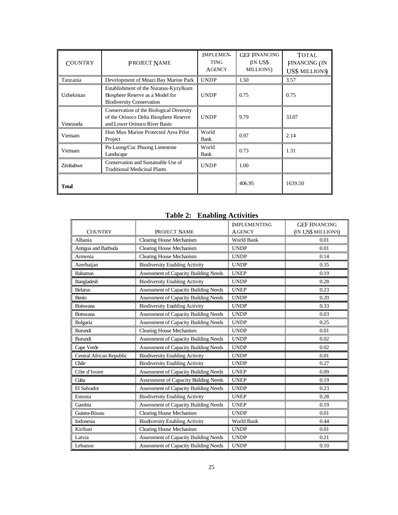| <b>COUNTRY</b> | <b>PROJECT NAME</b>                                                                                                 | <b>IMPLEMEN-</b><br><b>TING</b><br><b>AGENCY</b> | <b>GEF FINANCING</b><br>(IN US\$<br>MILLIONS) | <b>TOTAL</b><br><b>FINANCING</b> (IN<br><b>US\$ MILLIONS</b> |
|----------------|---------------------------------------------------------------------------------------------------------------------|--------------------------------------------------|-----------------------------------------------|--------------------------------------------------------------|
| Tanzania       | Development of Mnazi Bay Marine Park                                                                                | <b>UNDP</b>                                      | 1.50                                          | 3.57                                                         |
| Uzbekistan     | Establishment of the Nuratau-Kyzylkum<br>Biosphere Reserve as a Model for<br><b>Biodiversity Conservation</b>       | <b>UNDP</b>                                      | 0.75                                          | 0.75                                                         |
| Venezuela      | Conservation of the Biological Diversity<br>of the Orinoco Delta Biosphere Reserve<br>and Lower Orinoco River Basin | <b>UNDP</b>                                      | 9.79                                          | 33.07                                                        |
| Vietnam        | Hon Mun Marine Protected Area Pilot<br>Project                                                                      | World<br>Bank                                    | 0.97                                          | 2.14                                                         |
| Vietnam        | Pu-Luong/Cuc Phuong Limestone<br>Landscape                                                                          | World<br>Bank                                    | 0.73                                          | 1.31                                                         |
| Zimbabwe       | Conservation and Sustainable Use of<br><b>Traditional Medicinal Plants</b>                                          | <b>UNDP</b>                                      | 1.00                                          |                                                              |
| <b>Total</b>   |                                                                                                                     |                                                  | 406.95                                        | 1639.50                                                      |

## **Table 2: Enabling Activities**

|                          |                                              | <b>IMPLEMENTING</b> | <b>GEF FINANCING</b> |
|--------------------------|----------------------------------------------|---------------------|----------------------|
| <b>COUNTRY</b>           | PROJECT NAME                                 | <b>AGENCY</b>       | (IN US\$ MILLIONS)   |
| Albania                  | Clearing House Mechanism                     | World Bank          | 0.01                 |
| Antigua and Barbuda      | Clearing House Mechanism                     | <b>UNDP</b>         | 0.01                 |
| Armenia                  | Clearing House Mechanism                     | <b>UNDP</b>         | 0.14                 |
| Azerbaijan               | <b>Biodiversity Enabling Activity</b>        | <b>UNDP</b>         | 0.35                 |
| <b>Bahamas</b>           | Assessment of Capacity Building Needs        | <b>UNEP</b>         | 0.19                 |
| Bangladesh               | <b>Biodiversity Enabling Activity</b>        | <b>UNDP</b>         | 0.28                 |
| <b>Belarus</b>           | Assessment of Capacity Building Needs        | <b>UNEP</b>         | 0.23                 |
| Benin                    | Assessment of Capacity Building Needs        | <b>UNDP</b>         | 0.20                 |
| <b>Botswana</b>          | <b>Biodiversity Enabling Activity</b>        | <b>UNDP</b>         | 0.33                 |
| Botswana                 | Assessment of Capacity Building Needs        | <b>UNDP</b>         | 0.03                 |
| <b>Bulgaria</b>          | <b>Assessment of Capacity Building Needs</b> | <b>UNDP</b>         | 0.25                 |
| Burundi                  | Clearing House Mechanism                     | <b>UNDP</b>         | 0.01                 |
| Burundi                  | <b>Assessment of Capacity Building Needs</b> | <b>UNDP</b>         | 0.02                 |
| Cape Verde               | Assessment of Capacity Building Needs        | <b>UNDP</b>         | 0.02                 |
| Central African Republic | <b>Biodiversity Enabling Activity</b>        | <b>UNDP</b>         | 0.01                 |
| Chile                    | <b>Biodiversity Enabling Activity</b>        | <b>UNDP</b>         | 0.27                 |
| Côte d'Ivoire            | <b>Assessment of Capacity Building Needs</b> | <b>UNEP</b>         | 0.09                 |
| Cuba                     | Assessment of Capacity Building Needs        | <b>UNEP</b>         | 0.19                 |
| El Salvador              | Assessment of Capacity Building Needs        | <b>UNDP</b>         | 0.23                 |
| Estonia                  | <b>Biodiversity Enabling Activity</b>        | <b>UNEP</b>         | 0.28                 |
| Gambia                   | <b>Assessment of Capacity Building Needs</b> | <b>UNEP</b>         | 0.19                 |
| Guinea-Bissau            | Clearing House Mechanism                     | <b>UNDP</b>         | 0.01                 |
| Indonesia                | <b>Biodiversity Enabling Activity</b>        | World Bank          | 0.44                 |
| Kiribati                 | Clearing House Mechanism                     | <b>UNDP</b>         | 0.01                 |
| Latvia                   | Assessment of Capacity Building Needs        | <b>UNDP</b>         | 0.21                 |
| Lebanon                  | Assessment of Capacity Building Needs        | <b>UNDP</b>         | 0.10                 |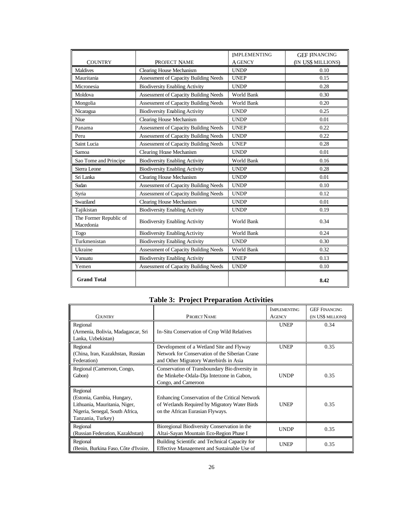|                                     |                                              | <b>IMPLEMENTING</b> | <b>GEF FINANCING</b> |
|-------------------------------------|----------------------------------------------|---------------------|----------------------|
| <b>COUNTRY</b>                      | PROJECT NAME                                 | <b>A GENCY</b>      | (IN US\$ MILLIONS)   |
| <b>Maldives</b>                     | Clearing House Mechanism                     | <b>UNDP</b>         | 0.10                 |
| Mauritania                          | Assessment of Capacity Building Needs        | <b>UNEP</b>         | 0.15                 |
| Micronesia                          | <b>Biodiversity Enabling Activity</b>        | <b>UNDP</b>         | 0.28                 |
| Moldova                             | Assessment of Capacity Building Needs        | World Bank          | 0.30                 |
| Mongolia                            | Assessment of Capacity Building Needs        | World Bank          | 0.20                 |
| Nicaragua                           | <b>Biodiversity Enabling Activity</b>        | <b>UNDP</b>         | 0.25                 |
| Niue                                | Clearing House Mechanism                     | <b>UNDP</b>         | 0.01                 |
| Panama                              | <b>Assessment of Capacity Building Needs</b> | <b>UNEP</b>         | 0.22                 |
| Peru                                | Assessment of Capacity Building Needs        | <b>UNDP</b>         | 0.22                 |
| Saint Lucia                         | Assessment of Capacity Building Needs        | <b>UNEP</b>         | 0.28                 |
| Samoa                               | Clearing House Mechanism                     | <b>UNDP</b>         | 0.01                 |
| Sao Tome and Principe               | <b>Biodiversity Enabling Activity</b>        | World Bank          | 0.16                 |
| Sierra Leone                        | <b>Biodiversity Enabling Activity</b>        | <b>UNDP</b>         | 0.28                 |
| Sri Lanka                           | Clearing House Mechanism                     | <b>UNDP</b>         | 0.01                 |
| Sudan                               | Assessment of Capacity Building Needs        | <b>UNDP</b>         | 0.10                 |
| Syria                               | Assessment of Capacity Building Needs        | <b>UNDP</b>         | 0.12                 |
| Swaziland                           | Clearing House Mechanism                     | <b>UNDP</b>         | 0.01                 |
| Tajikistan                          | <b>Biodiversity Enabling Activity</b>        | <b>UNDP</b>         | 0.19                 |
| The Former Republic of<br>Macedonia | <b>Biodiversity Enabling Activity</b>        | World Bank          | 0.34                 |
| Togo                                | <b>Biodiversity Enabling Activity</b>        | World Bank          | 0.24                 |
| Turkmenistan                        | <b>Biodiversity Enabling Activity</b>        | <b>UNDP</b>         | 0.30                 |
| Ukraine                             | Assessment of Capacity Building Needs        | World Bank          | 0.32                 |
| Vanuatu                             | <b>Biodiversity Enabling Activity</b>        | <b>UNEP</b>         | 0.13                 |
| Yemen                               | Assessment of Capacity Building Needs        | <b>UNDP</b>         | 0.10                 |
| <b>Grand Total</b>                  |                                              |                     | 8.42                 |

## **Table 3: Project Preparation Activities**

|                                                                                                                                 |                                                                                                                                      | <b>IMPLEMENTING</b> | <b>GEF FINANCING</b> |
|---------------------------------------------------------------------------------------------------------------------------------|--------------------------------------------------------------------------------------------------------------------------------------|---------------------|----------------------|
| <b>COUNTRY</b>                                                                                                                  | <b>PROJECT NAME</b>                                                                                                                  | <b>AGENCY</b>       | (IN US\$ MILLIONS)   |
| Regional                                                                                                                        |                                                                                                                                      | <b>UNEP</b>         | 0.34                 |
| (Armenia, Bolivia, Madagascar, Sri<br>Lanka, Uzbekistan)                                                                        | In-Situ Conservation of Crop Wild Relatives                                                                                          |                     |                      |
| Regional<br>(China, Iran, Kazakhstan, Russian<br>Federation)                                                                    | Development of a Wetland Site and Flyway<br>Network for Conservation of the Siberian Crane<br>and Other Migratory Waterbirds in Asia | <b>UNEP</b>         | 0.35                 |
| Regional (Cameroon, Congo,<br>Gabon)                                                                                            | Conservation of Transboundary Bio diversity in<br>the Minkebe-Odala-Dja Interzone in Gabon,<br>Congo, and Cameroon                   | <b>UNDP</b>         | 0.35                 |
| Regional<br>(Estonia, Gambia, Hungary,<br>Lithuania, Mauritania, Niger,<br>Nigeria, Senegal, South Africa,<br>Tanzania, Turkey) | Enhancing Conservation of the Critical Network<br>of Wetlands Required by Migratory Water Birds<br>on the African Eurasian Flyways.  | <b>UNEP</b>         | 0.35                 |
| Regional<br>(Russian Federation, Kazakhstan)                                                                                    | Bioregional Biodiversity Conservation in the<br>Altai-Sayan Mountain Eco-Region Phase I                                              | <b>UNDP</b>         | 0.35                 |
| Regional<br>(Benin, Burkina Faso, Côte d'Ivoire,                                                                                | Building Scientific and Technical Capacity for<br>Effective Management and Sustainable Use of                                        | <b>UNEP</b>         | 0.35                 |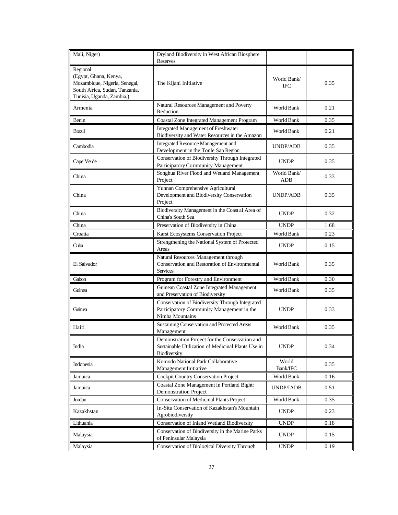| Mali, Niger)                                                                                                                      | Dryland Biodiversity in West African Biosphere<br>Reserves                                                           |                           |      |
|-----------------------------------------------------------------------------------------------------------------------------------|----------------------------------------------------------------------------------------------------------------------|---------------------------|------|
| Regional<br>(Egypt, Ghana, Kenya,<br>Mozambique, Nigeria, Senegal,<br>South Africa, Sudan, Tanzania,<br>Tunisia, Uganda, Zambia,) | The Kijani Initiative                                                                                                | World Bank/<br><b>IFC</b> | 0.35 |
| Armenia                                                                                                                           | Natural Resources Management and Poverty<br>Reduction                                                                | World Bank                | 0.21 |
| Benin                                                                                                                             | Coastal Zone Integrated Management Program                                                                           | World Bank                | 0.35 |
| <b>Brazil</b>                                                                                                                     | Integrated Management of Freshwater<br>Biodiversity and Water Resources in the Amazon                                | World Bank                | 0.21 |
| Cambodia                                                                                                                          | Integrated Resource Management and<br>Development in the Tonle Sap Region                                            | <b>UNDP/ADB</b>           | 0.35 |
| Cape Verde                                                                                                                        | Conservation of Biodiversity Through Integrated<br>Participatory Community Management                                | <b>UNDP</b>               | 0.35 |
| China                                                                                                                             | Songhua River Flood and Wetland Management<br>Project                                                                | World Bank/<br>ADB        | 0.33 |
| China                                                                                                                             | Yunnan Comprehensive Agricultural<br>Development and Biodiversity Conservation<br>Project                            | UNDP/ADB                  | 0.35 |
| China                                                                                                                             | Biodiversity Management in the Coast al Area of<br>China's South Sea                                                 | <b>UNDP</b>               | 0.32 |
| China                                                                                                                             | Preservation of Biodiversity in China                                                                                | <b>UNDP</b>               | 1.68 |
| Croatia                                                                                                                           | Karst Ecosystems Conservation Project                                                                                | World Bank                | 0.23 |
| Cuba                                                                                                                              | Strengthening the National System of Protected<br>Areas                                                              | <b>UNDP</b>               | 0.15 |
| El Salvador                                                                                                                       | Natural Resources Management through<br>Conservation and Restoration of Environmental<br><b>Services</b>             | World Bank                | 0.35 |
| Gabon                                                                                                                             | Program for Forestry and Environment                                                                                 | World Bank                | 0.30 |
| Guinea                                                                                                                            | Guinean Coastal Zone Integrated Management<br>and Preservation of Biodiversity                                       | World Bank                | 0.35 |
| Guinea                                                                                                                            | Conservation of Biodiversity Through Integrated<br>Participatory Community Management in the<br>Nimba Mountains      | <b>UNDP</b>               | 0.33 |
| Haiti                                                                                                                             | Sustaining Conservation and Protected Areas<br>Management                                                            | World Bank                | 0.35 |
| India                                                                                                                             | Demonstration Project for the Conservation and<br>Sustainable Utilization of Medicinal Plants Use in<br>Biodiversity | <b>UNDP</b>               | 0.34 |
| Indonesia                                                                                                                         | Komodo National Park Collaborative<br>Management Initiative                                                          | World<br>Bank/IFC         | 0.35 |
| Jamaica                                                                                                                           | Cockpit Country Conservation Project                                                                                 | World Bank                | 0.16 |
| Jamaica                                                                                                                           | Coastal Zone Management in Portland Bight:<br><b>Demonstration Project</b>                                           | UNDP/IADB                 | 0.51 |
| Jordan                                                                                                                            | Conservation of Medicinal Plants Project                                                                             | World Bank                | 0.35 |
| Kazakhstan                                                                                                                        | In-Situ Conservation of Kazakhstan's Mountain<br>Agrobiodiversity                                                    | <b>UNDP</b>               | 0.23 |
| Lithuania                                                                                                                         | Conservation of Inland Wetland Biodiversity                                                                          | <b>UNDP</b>               | 0.18 |
| Malaysia                                                                                                                          | Conservation of Biodiversity in the Marine Parks<br>of Peninsular Malaysia                                           | <b>UNDP</b>               | 0.15 |
| Malaysia                                                                                                                          | Conservation of Biological Diversity Through                                                                         | <b>UNDP</b>               | 0.19 |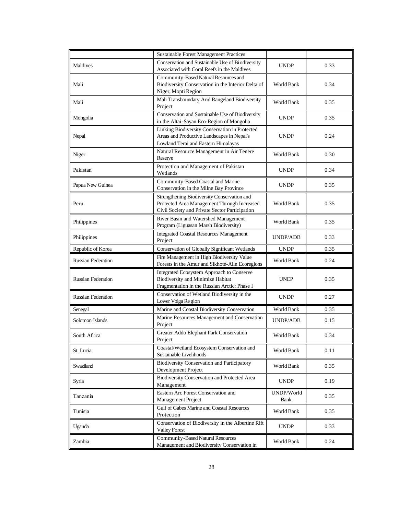|                           | <b>Sustainable Forest Management Practices</b>                                                                                               |                    |      |
|---------------------------|----------------------------------------------------------------------------------------------------------------------------------------------|--------------------|------|
| Maldives                  | Conservation and Sustainable Use of Biodiversity<br>Associated with Coral Reefs in the Maldives                                              | <b>UNDP</b>        | 0.33 |
| Mali                      | Community-Based Natural Resources and<br>Biodiversity Conservation in the Interior Delta of<br>Niger, Mopti Region                           | World Bank         | 0.34 |
| Mali                      | Mali Transboundary Arid Rangeland Biodiversity<br>Project                                                                                    | World Bank         | 0.35 |
| Mongolia                  | Conservation and Sustainable Use of Biodiversity<br>in the Altai-Sayan Eco-Region of Mongolia                                                | <b>UNDP</b>        | 0.35 |
| Nepal                     | Linking Biodiversity Conservation in Protected<br>Areas and Productive Landscapes in Nepal's<br>Lowland Terai and Eastern Himalayas          | <b>UNDP</b>        | 0.24 |
| Niger                     | Natural Resource Management in Air Tenere<br>Reserve                                                                                         | World Bank         | 0.30 |
| Pakistan                  | Protection and Management of Pakistan<br>Wetlands                                                                                            | <b>UNDP</b>        | 0.34 |
| Papua New Guinea          | Community-Based Coastal and Marine<br>Conservation in the Milne Bay Province                                                                 | <b>UNDP</b>        | 0.35 |
| Peru                      | Strengthening Biodiversity Conservation and<br>Protected Area Management Through Increased<br>Civil Society and Private Sector Participation | World Bank         | 0.35 |
| Philippines               | River Basin and Watershed Management<br>Program (Liguasan Marsh Biodiversity)                                                                | World Bank         | 0.35 |
| Philippines               | <b>Integrated Coastal Resources Management</b><br>Project                                                                                    | <b>UNDP/ADB</b>    | 0.33 |
| Republic of Korea         | <b>Conservation of Globally Significant Wetlands</b>                                                                                         | <b>UNDP</b>        | 0.35 |
| <b>Russian Federation</b> | Fire Management in High Biodiversity Value<br>Forests in the Amur and Sikhote-Alin Ecoregions                                                | World Bank         | 0.24 |
| <b>Russian Federation</b> | Integrated Ecosystem Approach to Conserve<br>Biodiversity and Minimize Habitat<br>Fragmentation in the Russian Arctic: Phase I               | <b>UNEP</b>        | 0.35 |
| <b>Russian Federation</b> | Conservation of Wetland Biodiversity in the<br>Lower Volga Region                                                                            | <b>UNDP</b>        | 0.27 |
| Senegal                   | Marine and Coastal Biodiversity Conservation                                                                                                 | World Bank         | 0.35 |
| Solomon Islands           | Marine Resources Management and Conservation<br>Project                                                                                      | <b>UNDP/ADB</b>    | 0.15 |
| South Africa              | Greater Addo Elephant Park Conservation<br>Project                                                                                           | World Bank         | 0.34 |
| St. Lucia                 | Coastal/Wetland Ecosystem Conservation and<br>Sustainable Livelihoods                                                                        | World Bank         | 0.11 |
| Swaziland                 | Biodiversity Conservation and Participatory<br>Development Project                                                                           | World Bank         | 0.35 |
| Syria                     | Biodiversity Conservation and Protected Area<br>Management                                                                                   | <b>UNDP</b>        | 0.19 |
| Tanzania                  | Eastern Arc Forest Conservation and<br><b>Management Project</b>                                                                             | UNDP/World<br>Bank | 0.35 |
| Tunisia                   | Gulf of Gabes Marine and Coastal Resources<br>Protection                                                                                     | World Bank         | 0.35 |
| Uganda                    | Conservation of Biodiversity in the Albertine Rift<br><b>Valley Forest</b>                                                                   | <b>UNDP</b>        | 0.33 |
| Zambia                    | Community-Based Natural Resources<br>Management and Biodiversity Conservation in                                                             | World Bank         | 0.24 |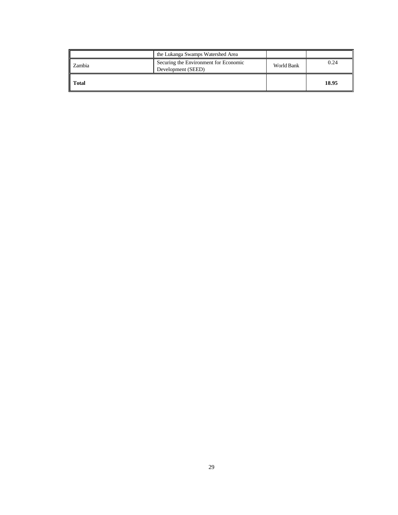|              | the Lukanga Swamps Watershed Area                           |            |       |
|--------------|-------------------------------------------------------------|------------|-------|
| Zambia       | Securing the Environment for Economic<br>Development (SEED) | World Bank | 0.24  |
| <b>Total</b> |                                                             |            | 18.95 |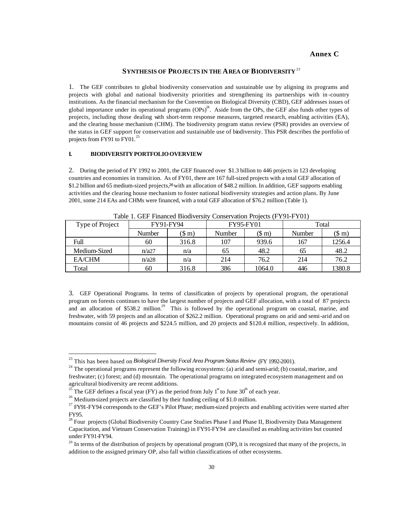### **Annex C**

#### **SYNTHESIS OF PROJECTS IN THE AREA OF BIODIVERSITY** <sup>23</sup>

1. The GEF contributes to global biodiversity conservation and sustainable use by aligning its programs and projects with global and national biodiversity priorities and strengthening its partnerships with in -country institutions. As the financial mechanism for the Convention on Biological Diversity (CBD), GEF addresses issues of global importance under its operational programs  $(OPs)^{24}$ . Aside from the OPs, the GEF also funds other types of projects, including those dealing with short-term response measures, targeted research, enabling activities (EA), and the clearing house mechanism (CHM). The biodiversity program status review (PSR) provides an overview of the status in GEF support for conservation and sustainable use of biodiversity. This PSR describes the portfolio of projects from FY91 to  $FY01$ .<sup>25</sup>

#### **I. BIODIVERSITY PORTFOLIO OVERVIEW**

2. During the period of FY 1992 to 2001, the GEF financed over \$1.3 billion to 446 projects in 123 developing countries and economies in transition. As of FY01, there are 167 full-sized projects with a total GEF allocation of \$1.2 billion and 65 medium-sized projects,<sup>26</sup> with an allocation of \$48.2 million. In addition, GEF supports enabling activities and the clearing house mechanism to foster national biodiversity strategies and action plans. By June 2001, some 214 EAs and CHMs were financed, with a total GEF allocation of \$76.2 million (Table 1).

| Type of Project | FY91-FY94     |                | <b>FY95-FY01</b> |                 | Total  |                 |  |  |
|-----------------|---------------|----------------|------------------|-----------------|--------|-----------------|--|--|
|                 | <b>Number</b> | $(\text{\$m})$ | Number           | $(\text{\$ m})$ | Number | $(\text{\$ m})$ |  |  |
| Full            | 60            | 316.8          | 107              | 939.6           | 167    | 1256.4          |  |  |
| Medium-Sized    | n/a27         | n/a            | 65               | 48.2            | 65     | 48.2            |  |  |
| EA/CHM          | n/a28         | n/a            | 214              | 76.2            | 214    | 76.2            |  |  |
| Total           | 60            | 316.8          | 386              | 1064.0          | 446    | 1380.8          |  |  |

Table 1. GEF Financed Biodiversity Conservation Projects (FY91-FY01)

3. GEF Operational Programs. In terms of classification of projects by operational program, the operational program on forests continues to have the largest number of projects and GEF allocation, with a total of 87 projects and an allocation of \$538.2 million.<sup>29</sup> This is followed by the operational program on coastal, marine, and freshwater, with 59 projects and an allocation of \$262.2 million. Operational programs on arid and semi-arid and on mountains consist of 46 projects and \$224.5 million, and 20 projects and \$120.4 million, respectively. In addition,

j

<sup>23</sup> This has been based on *Biological Diversity Focal Area Program Status Review* (FY 1992-2001).

 $24$  The operational programs represent the following ecosystems: (a) arid and semi-arid; (b) coastal, marine, and freshwater; (c) forest; and (d) mountain. The operational programs on integrated ecosystem management and on agricultural biodiversity are recent additions.

<sup>&</sup>lt;sup>25</sup> The GEF defines a fiscal year (FY) as the period from July  $1<sup>st</sup>$  to June 30<sup>th</sup> of each year.

<sup>&</sup>lt;sup>26</sup> Medium-sized projects are classified by their funding ceiling of \$1.0 million.

 $27$  FY91-FY94 corresponds to the GEF's Pilot Phase; medium-sized projects and enabling activities were started after FY95.

<sup>&</sup>lt;sup>28</sup> Four projects (Global Biodiversity Country Case Studies Phase I and Phase II, Biodiversity Data Management Capacitation, and Vietnam Conservation Training) in FY91-FY94 are classified as enabling activities but counted under FY91-FY94.

 $^{29}$  In terms of the distribution of projects by operational program (OP), it is recognized that many of the projects, in addition to the assigned primary OP, also fall within classifications of other ecosystems.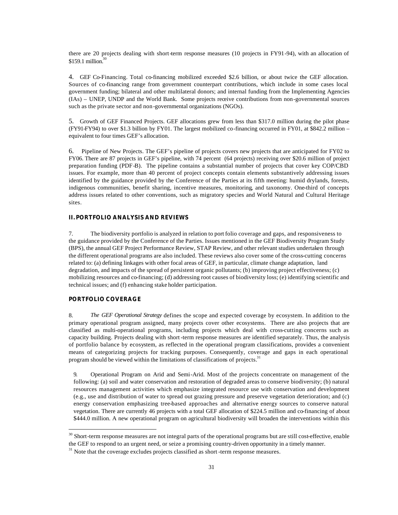there are 20 projects dealing with short-term response measures (10 projects in FY91-94), with an allocation of  $$159.1$  million.<sup>30</sup>

4. GEF Co-Financing. Total co-financing mobilized exceeded \$2.6 billion, or about twice the GEF allocation. Sources of co-financing range from government counterpart contributions, which include in some cases local government funding; bilateral and other multilateral donors; and internal funding from the Implementing Agencies (IAs) – UNEP, UNDP and the World Bank. Some projects receive contributions from non-governmental sources such as the private sector and non-governmental organizations (NGOs).

5. Growth of GEF Financed Projects. GEF allocations grew from less than \$317.0 million during the pilot phase (FY91-FY94) to over \$1.3 billion by FY01. The largest mobilized co-financing occurred in FY01, at \$842.2 million – equivalent to four times GEF's allocation.

6. Pipeline of New Projects. The GEF's pipeline of projects covers new projects that are anticipated for FY02 to FY06. There are 87 projects in GEF's pipeline, with 74 percent (64 projects) receiving over \$20.6 million of project preparation funding (PDF-B). The pipeline contains a substantial number of projects that cover key COP/CBD issues. For example, more than 40 percent of project concepts contain elements substantively addressing issues identified by the guidance provided by the Conference of the Parties at its fifth meeting: humid drylands, forests, indigenous communities, benefit sharing, incentive measures, monitoring, and taxonomy. One-third of concepts address issues related to other conventions, such as migratory species and World Natural and Cultural Heritage sites.

#### **II. PORTFOLIO ANALYSIS AND REVIEWS**

7. The biodiversity portfolio is analyzed in relation to port folio coverage and gaps, and responsiveness to the guidance provided by the Conference of the Parties. Issues mentioned in the GEF Biodiversity Program Study (BPS), the annual GEF Project Performance Review, STAP Review, and other relevant studies undertaken through the different operational programs are also included. These reviews also cover some of the cross-cutting concerns related to: (a) defining linkages with other focal areas of GEF, in particular, climate change adaptation, land degradation, and impacts of the spread of persistent organic pollutants; (b) improving project effectiveness; (c) mobilizing resources and co-financing; (d) addressing root causes of biodiversity loss; (e) identifying scientific and technical issues; and (f) enhancing stake holder participation.

#### **PORTFOLIO COVERAGE**

j

8. *The GEF Operational Strategy* defines the scope and expected coverage by ecosystem. In addition to the primary operational program assigned, many projects cover other ecosystems. There are also projects that are classified as multi-operational programs, including projects which deal with cross-cutting concerns such as capacity building. Projects dealing with short -term response measures are identified separately. Thus, the analysis of portfolio balance by ecosystem, as reflected in the operational program classifications, provides a convenient means of categorizing projects for tracking purposes. Consequently, coverage and gaps in each operational program should be viewed within the limitations of classifications of projects.<sup>31</sup>

9. Operational Program on Arid and Semi-Arid. Most of the projects concentrate on management of the following: (a) soil and water conservation and restoration of degraded areas to conserve biodiversity; (b) natural resources management activities which emphasize integrated resource use with conservation and development (e.g., use and distribution of water to spread out grazing pressure and preserve vegetation deterioration; and (c) energy conservation emphasizing tree-based approaches and alternative energy sources to conserve natural vegetation. There are currently 46 projects with a total GEF allocation of \$224.5 million and co-financing of about \$444.0 million. A new operational program on agricultural biodiversity will broaden the interventions within this

<sup>&</sup>lt;sup>30</sup> Short-term response measures are not integral parts of the operational programs but are still cost-effective, enable the GEF to respond to an urgent need, or seize a promising country-driven opportunity in a timely manner.

 $31$  Note that the coverage excludes projects classified as short-term response measures.